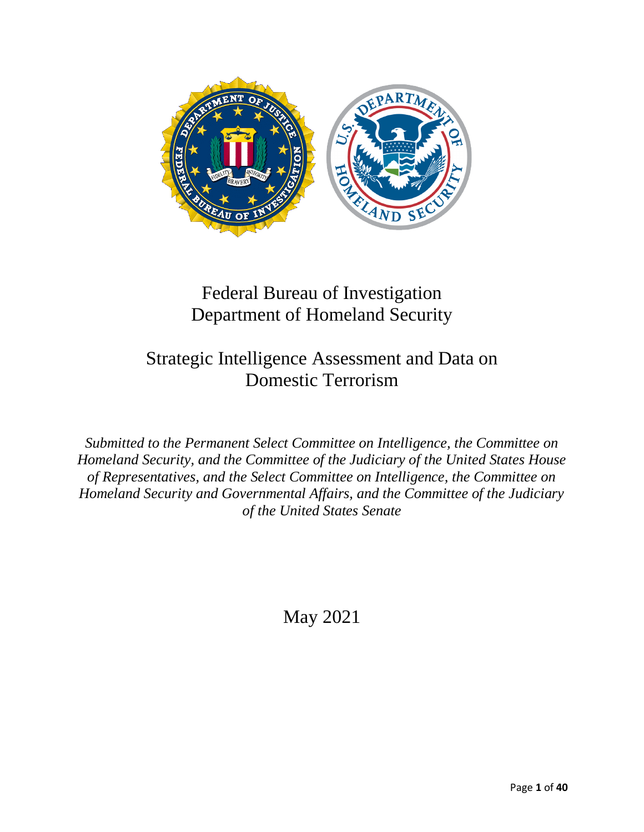

## Federal Bureau of Investigation Department of Homeland Security

### Strategic Intelligence Assessment and Data on Domestic Terrorism

*Submitted to the Permanent Select Committee on Intelligence, the Committee on Homeland Security, and the Committee of the Judiciary of the United States House of Representatives, and the Select Committee on Intelligence, the Committee on Homeland Security and Governmental Affairs, and the Committee of the Judiciary of the United States Senate*

May 2021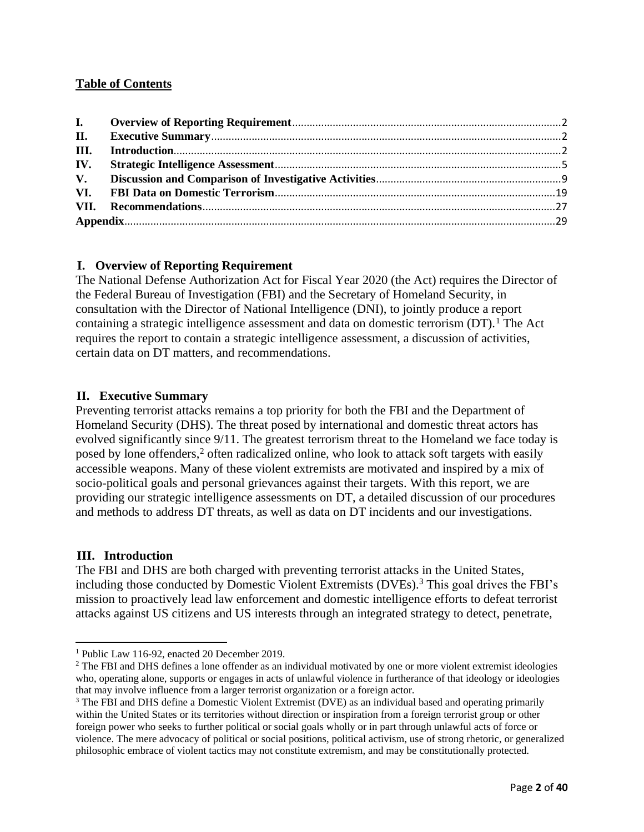#### **Table of Contents**

#### <span id="page-1-0"></span>**I. Overview of Reporting Requirement**

The National Defense Authorization Act for Fiscal Year 2020 (the Act) requires the Director of the Federal Bureau of Investigation (FBI) and the Secretary of Homeland Security, in consultation with the Director of National Intelligence (DNI), to jointly produce a report containing a strategic intelligence assessment and data on domestic terrorism  $(DT)$ .<sup>1</sup> The Act requires the report to contain a strategic intelligence assessment, a discussion of activities, certain data on DT matters, and recommendations.

#### <span id="page-1-1"></span>**II. Executive Summary**

Preventing terrorist attacks remains a top priority for both the FBI and the Department of Homeland Security (DHS). The threat posed by international and domestic threat actors has evolved significantly since 9/11. The greatest terrorism threat to the Homeland we face today is posed by lone offenders,<sup>2</sup> often radicalized online, who look to attack soft targets with easily accessible weapons. Many of these violent extremists are motivated and inspired by a mix of socio-political goals and personal grievances against their targets. With this report, we are providing our strategic intelligence assessments on DT, a detailed discussion of our procedures and methods to address DT threats, as well as data on DT incidents and our investigations.

#### <span id="page-1-2"></span>**III. Introduction**

The FBI and DHS are both charged with preventing terrorist attacks in the United States, including those conducted by Domestic Violent Extremists (DVEs).<sup>3</sup> This goal drives the FBI's mission to proactively lead law enforcement and domestic intelligence efforts to defeat terrorist attacks against US citizens and US interests through an integrated strategy to detect, penetrate,

<sup>1</sup> Public Law 116-92, enacted 20 December 2019.

<sup>&</sup>lt;sup>2</sup> The FBI and DHS defines a lone offender as an individual motivated by one or more violent extremist ideologies who, operating alone, supports or engages in acts of unlawful violence in furtherance of that ideology or ideologies that may involve influence from a larger terrorist organization or a foreign actor.

<sup>&</sup>lt;sup>3</sup> The FBI and DHS define a Domestic Violent Extremist (DVE) as an individual based and operating primarily within the United States or its territories without direction or inspiration from a foreign terrorist group or other foreign power who seeks to further political or social goals wholly or in part through unlawful acts of force or violence. The mere advocacy of political or social positions, political activism, use of strong rhetoric, or generalized philosophic embrace of violent tactics may not constitute extremism, and may be constitutionally protected.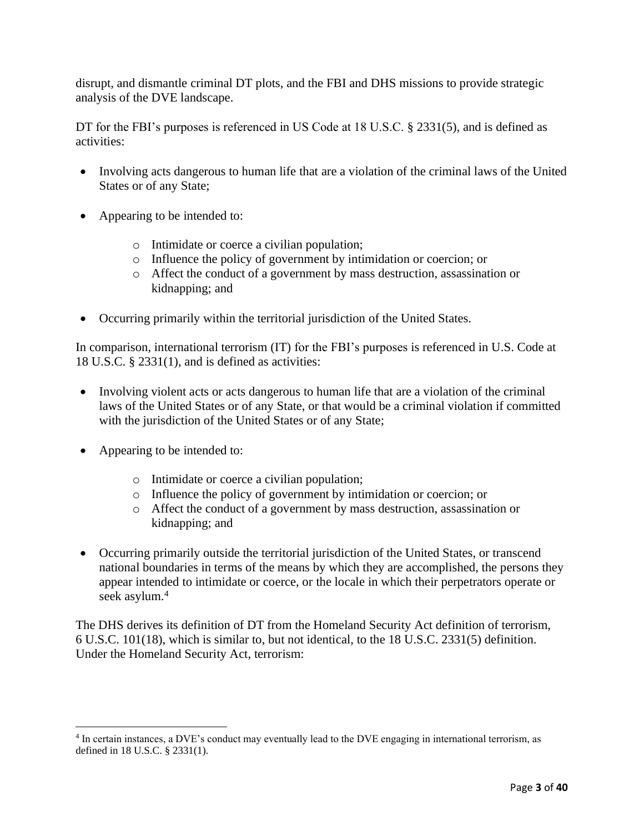disrupt, and dismantle criminal DT plots, and the FBI and DHS missions to provide strategic analysis of the DVE landscape.

DT for the FBI's purposes is referenced in US Code at 18 U.S.C. § 2331(5), and is defined as activities:

- Involving acts dangerous to human life that are a violation of the criminal laws of the United States or of any State;
- Appearing to be intended to:
	- o Intimidate or coerce a civilian population;
	- o Influence the policy of government by intimidation or coercion; or
	- o Affect the conduct of a government by mass destruction, assassination or kidnapping; and
- Occurring primarily within the territorial jurisdiction of the United States.

In comparison, international terrorism (IT) for the FBI's purposes is referenced in U.S. Code at 18 U.S.C. § 2331(1), and is defined as activities:

- Involving violent acts or acts dangerous to human life that are a violation of the criminal laws of the United States or of any State, or that would be a criminal violation if committed with the jurisdiction of the United States or of any State;
- Appearing to be intended to:
	- o Intimidate or coerce a civilian population;
	- o Influence the policy of government by intimidation or coercion; or
	- o Affect the conduct of a government by mass destruction, assassination or kidnapping; and
- Occurring primarily outside the territorial jurisdiction of the United States, or transcend national boundaries in terms of the means by which they are accomplished, the persons they appear intended to intimidate or coerce, or the locale in which their perpetrators operate or seek asylum. 4

The DHS derives its definition of DT from the Homeland Security Act definition of terrorism, 6 U.S.C. 101(18), which is similar to, but not identical, to the 18 U.S.C. 2331(5) definition. Under the Homeland Security Act, terrorism:

<sup>&</sup>lt;sup>4</sup> In certain instances, a DVE's conduct may eventually lead to the DVE engaging in international terrorism, as defined in 18 U.S.C. § 2331(1).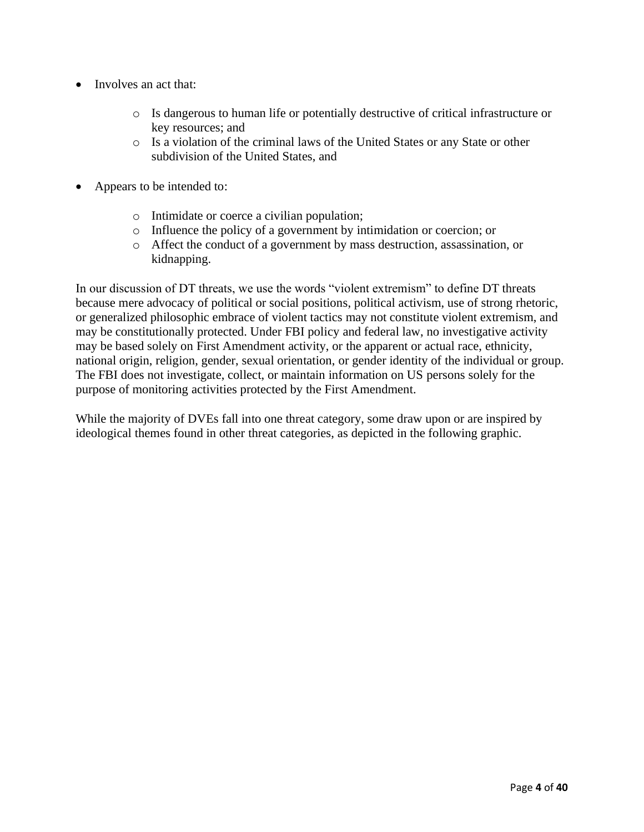- Involves an act that:
	- o Is dangerous to human life or potentially destructive of critical infrastructure or key resources; and
	- o Is a violation of the criminal laws of the United States or any State or other subdivision of the United States, and
- Appears to be intended to:
	- o Intimidate or coerce a civilian population;
	- o Influence the policy of a government by intimidation or coercion; or
	- o Affect the conduct of a government by mass destruction, assassination, or kidnapping.

In our discussion of DT threats, we use the words "violent extremism" to define DT threats because mere advocacy of political or social positions, political activism, use of strong rhetoric, or generalized philosophic embrace of violent tactics may not constitute violent extremism, and may be constitutionally protected. Under FBI policy and federal law, no investigative activity may be based solely on First Amendment activity, or the apparent or actual race, ethnicity, national origin, religion, gender, sexual orientation, or gender identity of the individual or group. The FBI does not investigate, collect, or maintain information on US persons solely for the purpose of monitoring activities protected by the First Amendment.

While the majority of DVEs fall into one threat category, some draw upon or are inspired by ideological themes found in other threat categories, as depicted in the following graphic.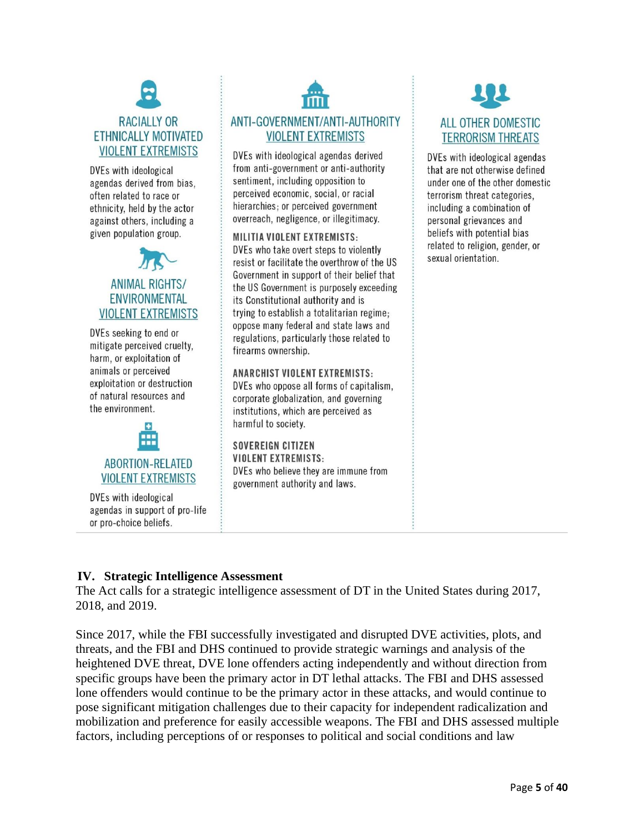## **RACIALLY OR** ETHNICALLY MOTIVATED **VIOLENT EXTREMISTS**

DVEs with ideological agendas derived from bias. often related to race or ethnicity, held by the actor against others, including a given population group.



DVEs seeking to end or mitigate perceived cruelty, harm, or exploitation of animals or perceived exploitation or destruction of natural resources and the environment.



DVEs with ideological agendas in support of pro-life or pro-choice beliefs.

# ANTI-GOVERNMENT/ANTI-AUTHORITY **VIOLENT EXTREMISTS**

DVEs with ideological agendas derived from anti-government or anti-authority sentiment, including opposition to perceived economic, social, or racial hierarchies; or perceived government overreach, negligence, or illegitimacy.

#### **MILITIA VIOLENT EXTREMISTS:**

DVEs who take overt steps to violently resist or facilitate the overthrow of the US Government in support of their belief that the US Government is purposely exceeding its Constitutional authority and is trying to establish a totalitarian regime; oppose many federal and state laws and regulations, particularly those related to firearms ownership.

**ANARCHIST VIOLENT EXTREMISTS:** DVEs who oppose all forms of capitalism. corporate globalization, and governing institutions, which are perceived as harmful to society.

**SOVEREIGN CITIZEN VIOLENT EXTREMISTS:** DVEs who believe they are immune from government authority and laws.



DVEs with ideological agendas that are not otherwise defined under one of the other domestic terrorism threat categories, including a combination of personal grievances and beliefs with potential bias related to religion, gender, or sexual orientation.

#### <span id="page-4-0"></span>**IV. Strategic Intelligence Assessment**

The Act calls for a strategic intelligence assessment of DT in the United States during 2017, 2018, and 2019.

Since 2017, while the FBI successfully investigated and disrupted DVE activities, plots, and threats, and the FBI and DHS continued to provide strategic warnings and analysis of the heightened DVE threat, DVE lone offenders acting independently and without direction from specific groups have been the primary actor in DT lethal attacks. The FBI and DHS assessed lone offenders would continue to be the primary actor in these attacks, and would continue to pose significant mitigation challenges due to their capacity for independent radicalization and mobilization and preference for easily accessible weapons. The FBI and DHS assessed multiple factors, including perceptions of or responses to political and social conditions and law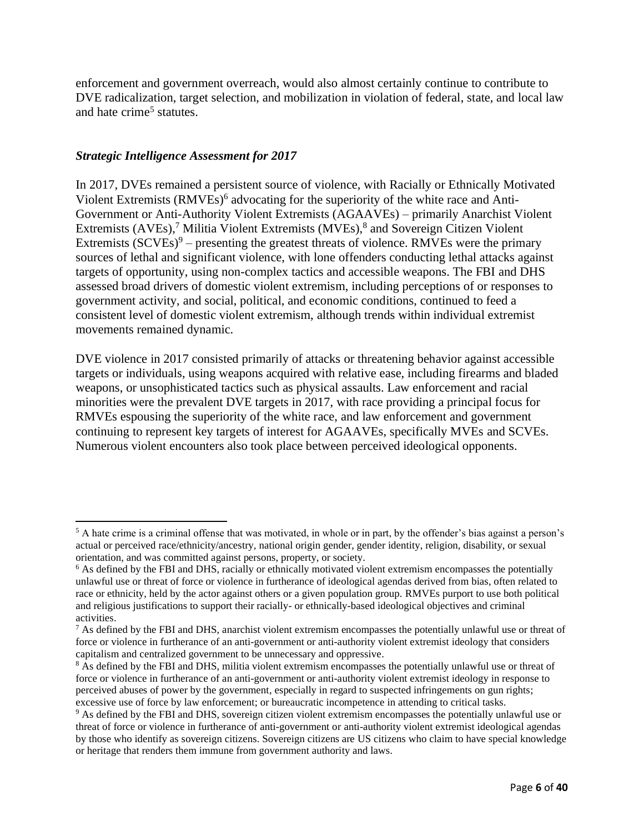enforcement and government overreach, would also almost certainly continue to contribute to DVE radicalization, target selection, and mobilization in violation of federal, state, and local law and hate crime<sup>5</sup> statutes.

#### *Strategic Intelligence Assessment for 2017*

In 2017, DVEs remained a persistent source of violence, with Racially or Ethnically Motivated Violent Extremists (RMVEs)<sup>6</sup> advocating for the superiority of the white race and Anti-Government or Anti-Authority Violent Extremists (AGAAVEs) – primarily Anarchist Violent Extremists (AVEs),<sup>7</sup> Militia Violent Extremists (MVEs),<sup>8</sup> and Sovereign Citizen Violent Extremists  $(SCVEs)^9$  – presenting the greatest threats of violence. RMVEs were the primary sources of lethal and significant violence, with lone offenders conducting lethal attacks against targets of opportunity, using non-complex tactics and accessible weapons. The FBI and DHS assessed broad drivers of domestic violent extremism, including perceptions of or responses to government activity, and social, political, and economic conditions, continued to feed a consistent level of domestic violent extremism, although trends within individual extremist movements remained dynamic.

DVE violence in 2017 consisted primarily of attacks or threatening behavior against accessible targets or individuals, using weapons acquired with relative ease, including firearms and bladed weapons, or unsophisticated tactics such as physical assaults. Law enforcement and racial minorities were the prevalent DVE targets in 2017, with race providing a principal focus for RMVEs espousing the superiority of the white race, and law enforcement and government continuing to represent key targets of interest for AGAAVEs, specifically MVEs and SCVEs. Numerous violent encounters also took place between perceived ideological opponents.

 $5$  A hate crime is a criminal offense that was motivated, in whole or in part, by the offender's bias against a person's actual or perceived race/ethnicity/ancestry, national origin gender, gender identity, religion, disability, or sexual orientation, and was committed against persons, property, or society.

<sup>&</sup>lt;sup>6</sup> As defined by the FBI and DHS, racially or ethnically motivated violent extremism encompasses the potentially unlawful use or threat of force or violence in furtherance of ideological agendas derived from bias, often related to race or ethnicity, held by the actor against others or a given population group. RMVEs purport to use both political and religious justifications to support their racially- or ethnically-based ideological objectives and criminal activities.

<sup>&</sup>lt;sup>7</sup> As defined by the FBI and DHS, anarchist violent extremism encompasses the potentially unlawful use or threat of force or violence in furtherance of an anti-government or anti-authority violent extremist ideology that considers capitalism and centralized government to be unnecessary and oppressive.

<sup>&</sup>lt;sup>8</sup> As defined by the FBI and DHS, militia violent extremism encompasses the potentially unlawful use or threat of force or violence in furtherance of an anti-government or anti-authority violent extremist ideology in response to perceived abuses of power by the government, especially in regard to suspected infringements on gun rights; excessive use of force by law enforcement; or bureaucratic incompetence in attending to critical tasks.

<sup>&</sup>lt;sup>9</sup> As defined by the FBI and DHS, sovereign citizen violent extremism encompasses the potentially unlawful use or threat of force or violence in furtherance of anti-government or anti-authority violent extremist ideological agendas by those who identify as sovereign citizens. Sovereign citizens are US citizens who claim to have special knowledge or heritage that renders them immune from government authority and laws.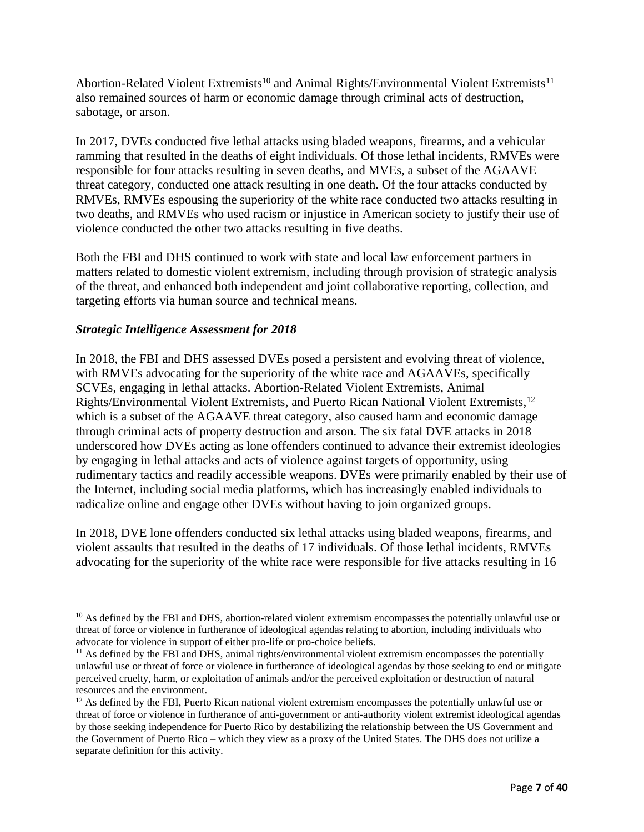Abortion-Related Violent Extremists<sup>10</sup> and Animal Rights/Environmental Violent Extremists<sup>11</sup> also remained sources of harm or economic damage through criminal acts of destruction, sabotage, or arson.

In 2017, DVEs conducted five lethal attacks using bladed weapons, firearms, and a vehicular ramming that resulted in the deaths of eight individuals. Of those lethal incidents, RMVEs were responsible for four attacks resulting in seven deaths, and MVEs, a subset of the AGAAVE threat category, conducted one attack resulting in one death. Of the four attacks conducted by RMVEs, RMVEs espousing the superiority of the white race conducted two attacks resulting in two deaths, and RMVEs who used racism or injustice in American society to justify their use of violence conducted the other two attacks resulting in five deaths.

Both the FBI and DHS continued to work with state and local law enforcement partners in matters related to domestic violent extremism, including through provision of strategic analysis of the threat, and enhanced both independent and joint collaborative reporting, collection, and targeting efforts via human source and technical means.

#### *Strategic Intelligence Assessment for 2018*

In 2018, the FBI and DHS assessed DVEs posed a persistent and evolving threat of violence, with RMVEs advocating for the superiority of the white race and AGAAVEs, specifically SCVEs, engaging in lethal attacks. Abortion-Related Violent Extremists, Animal Rights/Environmental Violent Extremists, and Puerto Rican National Violent Extremists, 12 which is a subset of the AGAAVE threat category, also caused harm and economic damage through criminal acts of property destruction and arson. The six fatal DVE attacks in 2018 underscored how DVEs acting as lone offenders continued to advance their extremist ideologies by engaging in lethal attacks and acts of violence against targets of opportunity, using rudimentary tactics and readily accessible weapons. DVEs were primarily enabled by their use of the Internet, including social media platforms, which has increasingly enabled individuals to radicalize online and engage other DVEs without having to join organized groups.

In 2018, DVE lone offenders conducted six lethal attacks using bladed weapons, firearms, and violent assaults that resulted in the deaths of 17 individuals. Of those lethal incidents, RMVEs advocating for the superiority of the white race were responsible for five attacks resulting in 16

<sup>&</sup>lt;sup>10</sup> As defined by the FBI and DHS, abortion-related violent extremism encompasses the potentially unlawful use or threat of force or violence in furtherance of ideological agendas relating to abortion, including individuals who advocate for violence in support of either pro-life or pro-choice beliefs.

 $11$  As defined by the FBI and DHS, animal rights/environmental violent extremism encompasses the potentially unlawful use or threat of force or violence in furtherance of ideological agendas by those seeking to end or mitigate perceived cruelty, harm, or exploitation of animals and/or the perceived exploitation or destruction of natural resources and the environment.

<sup>&</sup>lt;sup>12</sup> As defined by the FBI, Puerto Rican national violent extremism encompasses the potentially unlawful use or threat of force or violence in furtherance of anti-government or anti-authority violent extremist ideological agendas by those seeking independence for Puerto Rico by destabilizing the relationship between the US Government and the Government of Puerto Rico – which they view as a proxy of the United States. The DHS does not utilize a separate definition for this activity.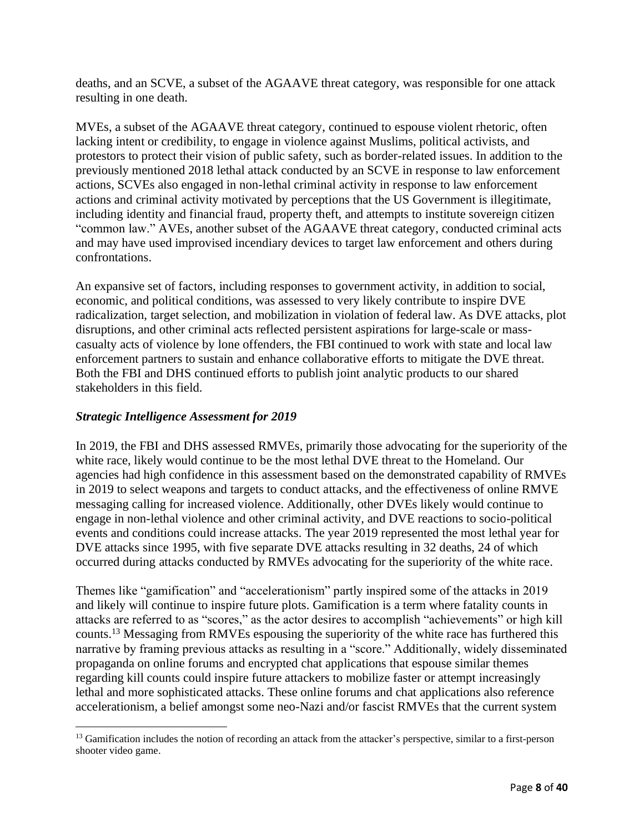deaths, and an SCVE, a subset of the AGAAVE threat category, was responsible for one attack resulting in one death.

MVEs, a subset of the AGAAVE threat category, continued to espouse violent rhetoric, often lacking intent or credibility, to engage in violence against Muslims, political activists, and protestors to protect their vision of public safety, such as border-related issues. In addition to the previously mentioned 2018 lethal attack conducted by an SCVE in response to law enforcement actions, SCVEs also engaged in non-lethal criminal activity in response to law enforcement actions and criminal activity motivated by perceptions that the US Government is illegitimate, including identity and financial fraud, property theft, and attempts to institute sovereign citizen "common law." AVEs, another subset of the AGAAVE threat category, conducted criminal acts and may have used improvised incendiary devices to target law enforcement and others during confrontations.

An expansive set of factors, including responses to government activity, in addition to social, economic, and political conditions, was assessed to very likely contribute to inspire DVE radicalization, target selection, and mobilization in violation of federal law. As DVE attacks, plot disruptions, and other criminal acts reflected persistent aspirations for large-scale or masscasualty acts of violence by lone offenders, the FBI continued to work with state and local law enforcement partners to sustain and enhance collaborative efforts to mitigate the DVE threat. Both the FBI and DHS continued efforts to publish joint analytic products to our shared stakeholders in this field.

#### *Strategic Intelligence Assessment for 2019*

In 2019, the FBI and DHS assessed RMVEs, primarily those advocating for the superiority of the white race, likely would continue to be the most lethal DVE threat to the Homeland. Our agencies had high confidence in this assessment based on the demonstrated capability of RMVEs in 2019 to select weapons and targets to conduct attacks, and the effectiveness of online RMVE messaging calling for increased violence. Additionally, other DVEs likely would continue to engage in non-lethal violence and other criminal activity, and DVE reactions to socio-political events and conditions could increase attacks. The year 2019 represented the most lethal year for DVE attacks since 1995, with five separate DVE attacks resulting in 32 deaths, 24 of which occurred during attacks conducted by RMVEs advocating for the superiority of the white race.

Themes like "gamification" and "accelerationism" partly inspired some of the attacks in 2019 and likely will continue to inspire future plots. Gamification is a term where fatality counts in attacks are referred to as "scores," as the actor desires to accomplish "achievements" or high kill counts.<sup>13</sup> Messaging from RMVEs espousing the superiority of the white race has furthered this narrative by framing previous attacks as resulting in a "score." Additionally, widely disseminated propaganda on online forums and encrypted chat applications that espouse similar themes regarding kill counts could inspire future attackers to mobilize faster or attempt increasingly lethal and more sophisticated attacks. These online forums and chat applications also reference accelerationism, a belief amongst some neo-Nazi and/or fascist RMVEs that the current system

<sup>&</sup>lt;sup>13</sup> Gamification includes the notion of recording an attack from the attacker's perspective, similar to a first-person shooter video game.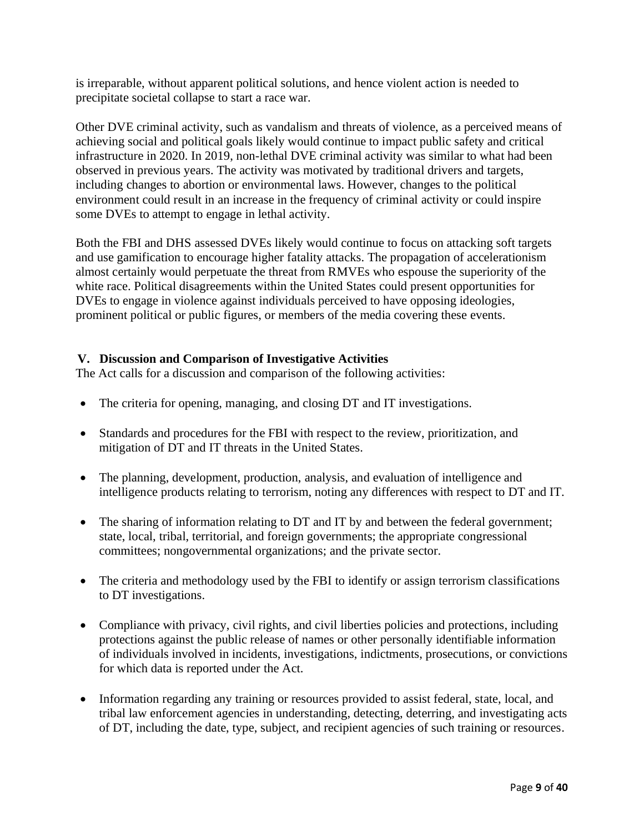is irreparable, without apparent political solutions, and hence violent action is needed to precipitate societal collapse to start a race war.

Other DVE criminal activity, such as vandalism and threats of violence, as a perceived means of achieving social and political goals likely would continue to impact public safety and critical infrastructure in 2020. In 2019, non-lethal DVE criminal activity was similar to what had been observed in previous years. The activity was motivated by traditional drivers and targets, including changes to abortion or environmental laws. However, changes to the political environment could result in an increase in the frequency of criminal activity or could inspire some DVEs to attempt to engage in lethal activity.

Both the FBI and DHS assessed DVEs likely would continue to focus on attacking soft targets and use gamification to encourage higher fatality attacks. The propagation of accelerationism almost certainly would perpetuate the threat from RMVEs who espouse the superiority of the white race. Political disagreements within the United States could present opportunities for DVEs to engage in violence against individuals perceived to have opposing ideologies, prominent political or public figures, or members of the media covering these events.

#### <span id="page-8-0"></span>**V. Discussion and Comparison of Investigative Activities**

The Act calls for a discussion and comparison of the following activities:

- The criteria for opening, managing, and closing DT and IT investigations.
- Standards and procedures for the FBI with respect to the review, prioritization, and mitigation of DT and IT threats in the United States.
- The planning, development, production, analysis, and evaluation of intelligence and intelligence products relating to terrorism, noting any differences with respect to DT and IT.
- The sharing of information relating to DT and IT by and between the federal government; state, local, tribal, territorial, and foreign governments; the appropriate congressional committees; nongovernmental organizations; and the private sector.
- The criteria and methodology used by the FBI to identify or assign terrorism classifications to DT investigations.
- Compliance with privacy, civil rights, and civil liberties policies and protections, including protections against the public release of names or other personally identifiable information of individuals involved in incidents, investigations, indictments, prosecutions, or convictions for which data is reported under the Act.
- Information regarding any training or resources provided to assist federal, state, local, and tribal law enforcement agencies in understanding, detecting, deterring, and investigating acts of DT, including the date, type, subject, and recipient agencies of such training or resources.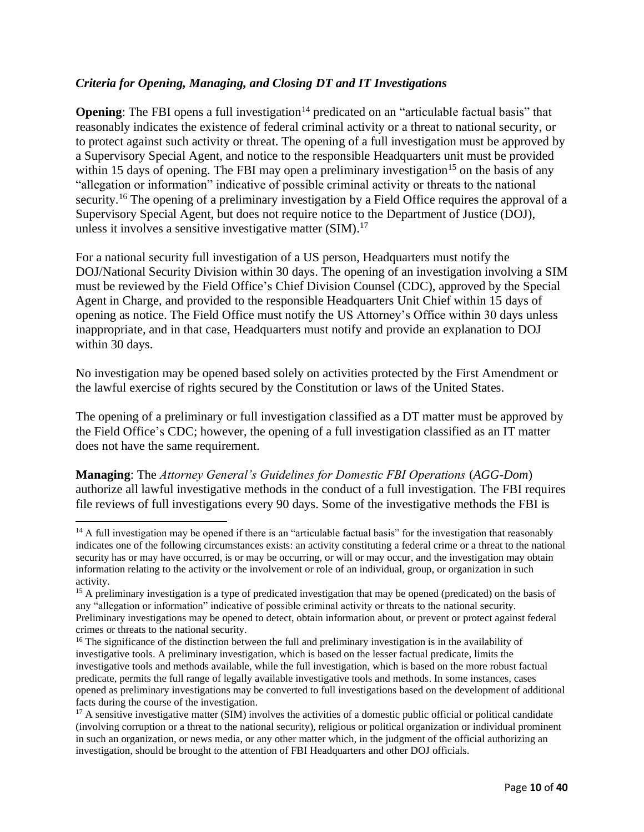#### *Criteria for Opening, Managing, and Closing DT and IT Investigations*

**Opening:** The FBI opens a full investigation<sup>14</sup> predicated on an "articulable factual basis" that reasonably indicates the existence of federal criminal activity or a threat to national security, or to protect against such activity or threat. The opening of a full investigation must be approved by a Supervisory Special Agent, and notice to the responsible Headquarters unit must be provided within 15 days of opening. The FBI may open a preliminary investigation<sup>15</sup> on the basis of any "allegation or information" indicative of possible criminal activity or threats to the national security.<sup>16</sup> The opening of a preliminary investigation by a Field Office requires the approval of a Supervisory Special Agent, but does not require notice to the Department of Justice (DOJ), unless it involves a sensitive investigative matter (SIM). 17

For a national security full investigation of a US person, Headquarters must notify the DOJ/National Security Division within 30 days. The opening of an investigation involving a SIM must be reviewed by the Field Office's Chief Division Counsel (CDC), approved by the Special Agent in Charge, and provided to the responsible Headquarters Unit Chief within 15 days of opening as notice. The Field Office must notify the US Attorney's Office within 30 days unless inappropriate, and in that case, Headquarters must notify and provide an explanation to DOJ within 30 days.

No investigation may be opened based solely on activities protected by the First Amendment or the lawful exercise of rights secured by the Constitution or laws of the United States.

The opening of a preliminary or full investigation classified as a DT matter must be approved by the Field Office's CDC; however, the opening of a full investigation classified as an IT matter does not have the same requirement.

**Managing**: The *Attorney General's Guidelines for Domestic FBI Operations* (*AGG-Dom*) authorize all lawful investigative methods in the conduct of a full investigation. The FBI requires file reviews of full investigations every 90 days. Some of the investigative methods the FBI is

 $14$  A full investigation may be opened if there is an "articulable factual basis" for the investigation that reasonably indicates one of the following circumstances exists: an activity constituting a federal crime or a threat to the national security has or may have occurred, is or may be occurring, or will or may occur, and the investigation may obtain information relating to the activity or the involvement or role of an individual, group, or organization in such activity.

<sup>&</sup>lt;sup>15</sup> A preliminary investigation is a type of predicated investigation that may be opened (predicated) on the basis of any "allegation or information" indicative of possible criminal activity or threats to the national security. Preliminary investigations may be opened to detect, obtain information about, or prevent or protect against federal crimes or threats to the national security.

<sup>&</sup>lt;sup>16</sup> The significance of the distinction between the full and preliminary investigation is in the availability of investigative tools. A preliminary investigation, which is based on the lesser factual predicate, limits the investigative tools and methods available, while the full investigation, which is based on the more robust factual predicate, permits the full range of legally available investigative tools and methods. In some instances, cases opened as preliminary investigations may be converted to full investigations based on the development of additional facts during the course of the investigation.

 $17$  A sensitive investigative matter (SIM) involves the activities of a domestic public official or political candidate (involving corruption or a threat to the national security), religious or political organization or individual prominent in such an organization, or news media, or any other matter which, in the judgment of the official authorizing an investigation, should be brought to the attention of FBI Headquarters and other DOJ officials.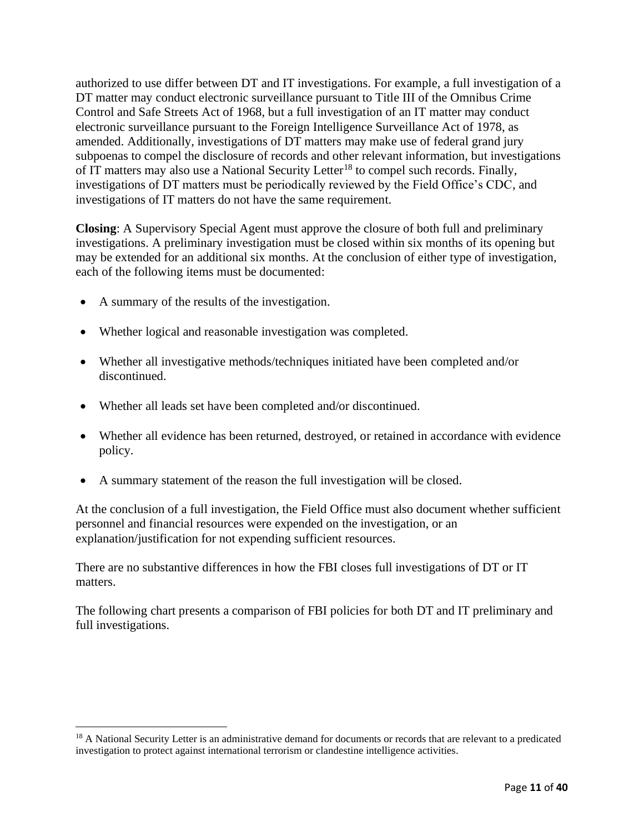authorized to use differ between DT and IT investigations. For example, a full investigation of a DT matter may conduct electronic surveillance pursuant to Title III of the Omnibus Crime Control and Safe Streets Act of 1968, but a full investigation of an IT matter may conduct electronic surveillance pursuant to the Foreign Intelligence Surveillance Act of 1978, as amended. Additionally, investigations of DT matters may make use of federal grand jury subpoenas to compel the disclosure of records and other relevant information, but investigations of IT matters may also use a National Security Letter<sup>18</sup> to compel such records. Finally, investigations of DT matters must be periodically reviewed by the Field Office's CDC, and investigations of IT matters do not have the same requirement.

**Closing**: A Supervisory Special Agent must approve the closure of both full and preliminary investigations. A preliminary investigation must be closed within six months of its opening but may be extended for an additional six months. At the conclusion of either type of investigation, each of the following items must be documented:

- A summary of the results of the investigation.
- Whether logical and reasonable investigation was completed.
- Whether all investigative methods/techniques initiated have been completed and/or discontinued.
- Whether all leads set have been completed and/or discontinued.
- Whether all evidence has been returned, destroyed, or retained in accordance with evidence policy.
- A summary statement of the reason the full investigation will be closed.

At the conclusion of a full investigation, the Field Office must also document whether sufficient personnel and financial resources were expended on the investigation, or an explanation/justification for not expending sufficient resources.

There are no substantive differences in how the FBI closes full investigations of DT or IT matters.

The following chart presents a comparison of FBI policies for both DT and IT preliminary and full investigations.

<sup>&</sup>lt;sup>18</sup> A National Security Letter is an administrative demand for documents or records that are relevant to a predicated investigation to protect against international terrorism or clandestine intelligence activities.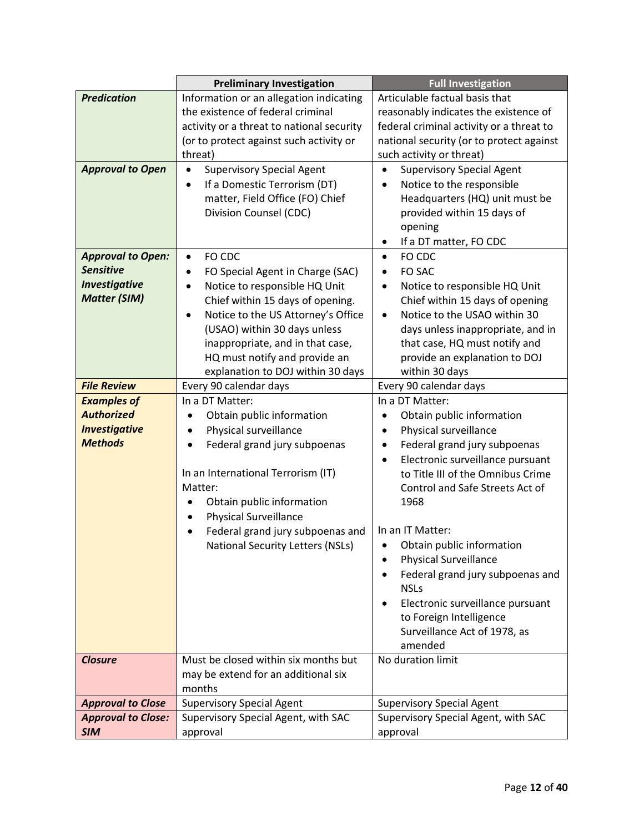|                           | <b>Preliminary Investigation</b>                | <b>Full Investigation</b>                     |  |  |
|---------------------------|-------------------------------------------------|-----------------------------------------------|--|--|
| <b>Predication</b>        | Information or an allegation indicating         | Articulable factual basis that                |  |  |
|                           | the existence of federal criminal               | reasonably indicates the existence of         |  |  |
|                           | activity or a threat to national security       | federal criminal activity or a threat to      |  |  |
|                           | (or to protect against such activity or         | national security (or to protect against      |  |  |
|                           | threat)                                         | such activity or threat)                      |  |  |
| <b>Approval to Open</b>   | <b>Supervisory Special Agent</b><br>$\bullet$   | <b>Supervisory Special Agent</b>              |  |  |
|                           | If a Domestic Terrorism (DT)<br>$\bullet$       | Notice to the responsible<br>$\bullet$        |  |  |
|                           | matter, Field Office (FO) Chief                 | Headquarters (HQ) unit must be                |  |  |
|                           | Division Counsel (CDC)                          | provided within 15 days of                    |  |  |
|                           |                                                 | opening                                       |  |  |
|                           |                                                 | If a DT matter, FO CDC<br>٠                   |  |  |
| <b>Approval to Open:</b>  | FO CDC<br>$\bullet$                             | FO CDC<br>$\bullet$                           |  |  |
| <b>Sensitive</b>          | FO Special Agent in Charge (SAC)<br>$\bullet$   | FO SAC<br>$\bullet$                           |  |  |
| <b>Investigative</b>      | Notice to responsible HQ Unit<br>$\bullet$      | Notice to responsible HQ Unit<br>$\bullet$    |  |  |
| <b>Matter (SIM)</b>       | Chief within 15 days of opening.                | Chief within 15 days of opening               |  |  |
|                           | Notice to the US Attorney's Office<br>$\bullet$ | Notice to the USAO within 30<br>$\bullet$     |  |  |
|                           | (USAO) within 30 days unless                    | days unless inappropriate, and in             |  |  |
|                           | inappropriate, and in that case,                | that case, HQ must notify and                 |  |  |
|                           | HQ must notify and provide an                   | provide an explanation to DOJ                 |  |  |
|                           | explanation to DOJ within 30 days               | within 30 days                                |  |  |
| <b>File Review</b>        | Every 90 calendar days                          | Every 90 calendar days                        |  |  |
| <b>Examples of</b>        | In a DT Matter:                                 | In a DT Matter:                               |  |  |
| <b>Authorized</b>         | Obtain public information                       | Obtain public information                     |  |  |
| <b>Investigative</b>      | Physical surveillance<br>$\bullet$              | Physical surveillance<br>$\bullet$            |  |  |
| <b>Methods</b>            | Federal grand jury subpoenas                    | Federal grand jury subpoenas<br>$\bullet$     |  |  |
|                           |                                                 | Electronic surveillance pursuant<br>$\bullet$ |  |  |
|                           | In an International Terrorism (IT)              | to Title III of the Omnibus Crime             |  |  |
|                           | Matter:                                         | Control and Safe Streets Act of               |  |  |
|                           | Obtain public information                       | 1968                                          |  |  |
|                           | <b>Physical Surveillance</b>                    |                                               |  |  |
|                           | Federal grand jury subpoenas and                | In an IT Matter:                              |  |  |
|                           | <b>National Security Letters (NSLs)</b>         | Obtain public information                     |  |  |
|                           |                                                 | <b>Physical Surveillance</b>                  |  |  |
|                           |                                                 | Federal grand jury subpoenas and              |  |  |
|                           |                                                 | <b>NSLs</b>                                   |  |  |
|                           |                                                 | Electronic surveillance pursuant              |  |  |
|                           |                                                 | to Foreign Intelligence                       |  |  |
|                           |                                                 | Surveillance Act of 1978, as                  |  |  |
|                           |                                                 | amended                                       |  |  |
| <b>Closure</b>            | Must be closed within six months but            | No duration limit                             |  |  |
|                           | may be extend for an additional six             |                                               |  |  |
|                           | months                                          |                                               |  |  |
| <b>Approval to Close</b>  | <b>Supervisory Special Agent</b>                | <b>Supervisory Special Agent</b>              |  |  |
| <b>Approval to Close:</b> | Supervisory Special Agent, with SAC             | Supervisory Special Agent, with SAC           |  |  |
| <b>SIM</b>                | approval                                        | approval                                      |  |  |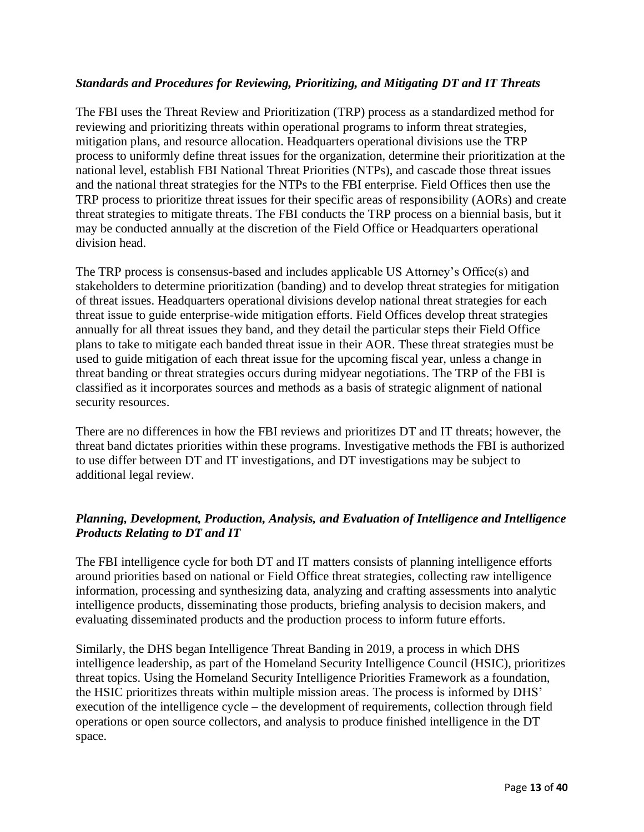#### *Standards and Procedures for Reviewing, Prioritizing, and Mitigating DT and IT Threats*

The FBI uses the Threat Review and Prioritization (TRP) process as a standardized method for reviewing and prioritizing threats within operational programs to inform threat strategies, mitigation plans, and resource allocation. Headquarters operational divisions use the TRP process to uniformly define threat issues for the organization, determine their prioritization at the national level, establish FBI National Threat Priorities (NTPs), and cascade those threat issues and the national threat strategies for the NTPs to the FBI enterprise. Field Offices then use the TRP process to prioritize threat issues for their specific areas of responsibility (AORs) and create threat strategies to mitigate threats. The FBI conducts the TRP process on a biennial basis, but it may be conducted annually at the discretion of the Field Office or Headquarters operational division head.

The TRP process is consensus-based and includes applicable US Attorney's Office(s) and stakeholders to determine prioritization (banding) and to develop threat strategies for mitigation of threat issues. Headquarters operational divisions develop national threat strategies for each threat issue to guide enterprise-wide mitigation efforts. Field Offices develop threat strategies annually for all threat issues they band, and they detail the particular steps their Field Office plans to take to mitigate each banded threat issue in their AOR. These threat strategies must be used to guide mitigation of each threat issue for the upcoming fiscal year, unless a change in threat banding or threat strategies occurs during midyear negotiations. The TRP of the FBI is classified as it incorporates sources and methods as a basis of strategic alignment of national security resources.

There are no differences in how the FBI reviews and prioritizes DT and IT threats; however, the threat band dictates priorities within these programs. Investigative methods the FBI is authorized to use differ between DT and IT investigations, and DT investigations may be subject to additional legal review.

#### *Planning, Development, Production, Analysis, and Evaluation of Intelligence and Intelligence Products Relating to DT and IT*

The FBI intelligence cycle for both DT and IT matters consists of planning intelligence efforts around priorities based on national or Field Office threat strategies, collecting raw intelligence information, processing and synthesizing data, analyzing and crafting assessments into analytic intelligence products, disseminating those products, briefing analysis to decision makers, and evaluating disseminated products and the production process to inform future efforts.

Similarly, the DHS began Intelligence Threat Banding in 2019, a process in which DHS intelligence leadership, as part of the Homeland Security Intelligence Council (HSIC), prioritizes threat topics. Using the Homeland Security Intelligence Priorities Framework as a foundation, the HSIC prioritizes threats within multiple mission areas. The process is informed by DHS' execution of the intelligence cycle – the development of requirements, collection through field operations or open source collectors, and analysis to produce finished intelligence in the DT space.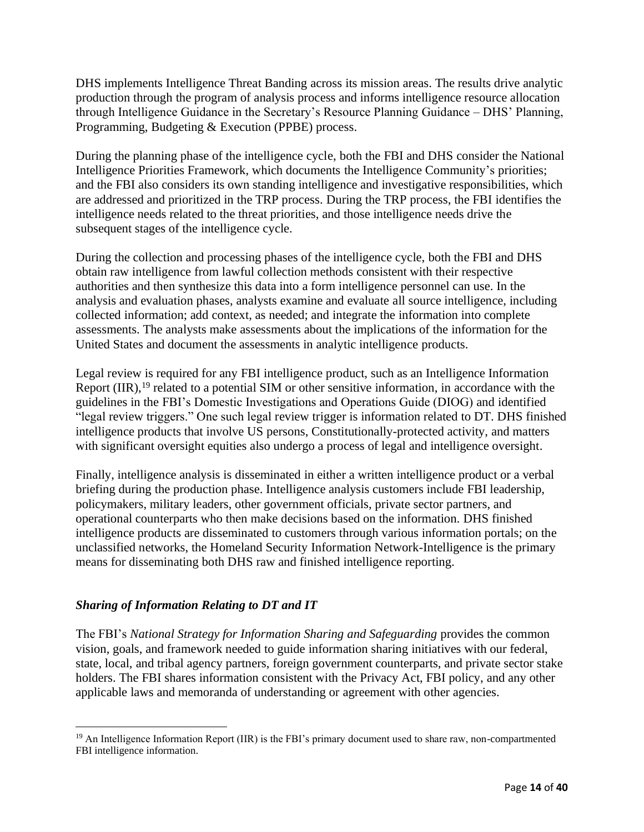DHS implements Intelligence Threat Banding across its mission areas. The results drive analytic production through the program of analysis process and informs intelligence resource allocation through Intelligence Guidance in the Secretary's Resource Planning Guidance – DHS' Planning, Programming, Budgeting & Execution (PPBE) process.

During the planning phase of the intelligence cycle, both the FBI and DHS consider the National Intelligence Priorities Framework, which documents the Intelligence Community's priorities; and the FBI also considers its own standing intelligence and investigative responsibilities, which are addressed and prioritized in the TRP process. During the TRP process, the FBI identifies the intelligence needs related to the threat priorities, and those intelligence needs drive the subsequent stages of the intelligence cycle.

During the collection and processing phases of the intelligence cycle, both the FBI and DHS obtain raw intelligence from lawful collection methods consistent with their respective authorities and then synthesize this data into a form intelligence personnel can use. In the analysis and evaluation phases, analysts examine and evaluate all source intelligence, including collected information; add context, as needed; and integrate the information into complete assessments. The analysts make assessments about the implications of the information for the United States and document the assessments in analytic intelligence products.

Legal review is required for any FBI intelligence product, such as an Intelligence Information Report (IIR),<sup>19</sup> related to a potential SIM or other sensitive information, in accordance with the guidelines in the FBI's Domestic Investigations and Operations Guide (DIOG) and identified "legal review triggers." One such legal review trigger is information related to DT. DHS finished intelligence products that involve US persons, Constitutionally-protected activity, and matters with significant oversight equities also undergo a process of legal and intelligence oversight.

Finally, intelligence analysis is disseminated in either a written intelligence product or a verbal briefing during the production phase. Intelligence analysis customers include FBI leadership, policymakers, military leaders, other government officials, private sector partners, and operational counterparts who then make decisions based on the information. DHS finished intelligence products are disseminated to customers through various information portals; on the unclassified networks, the Homeland Security Information Network-Intelligence is the primary means for disseminating both DHS raw and finished intelligence reporting.

#### *Sharing of Information Relating to DT and IT*

The FBI's *National Strategy for Information Sharing and Safeguarding* provides the common vision, goals, and framework needed to guide information sharing initiatives with our federal, state, local, and tribal agency partners, foreign government counterparts, and private sector stake holders. The FBI shares information consistent with the Privacy Act, FBI policy, and any other applicable laws and memoranda of understanding or agreement with other agencies.

<sup>&</sup>lt;sup>19</sup> An Intelligence Information Report (IIR) is the FBI's primary document used to share raw, non-compartmented FBI intelligence information.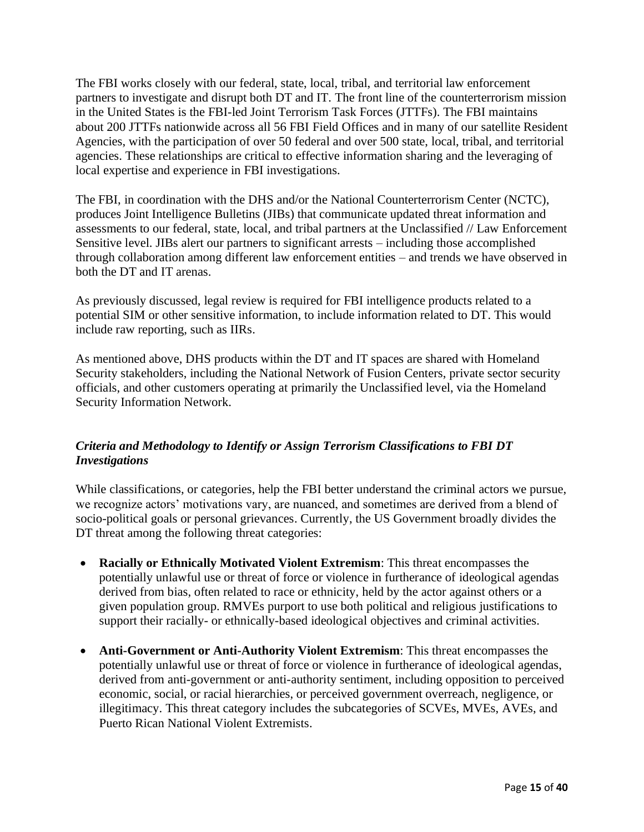The FBI works closely with our federal, state, local, tribal, and territorial law enforcement partners to investigate and disrupt both DT and IT. The front line of the counterterrorism mission in the United States is the FBI-led Joint Terrorism Task Forces (JTTFs). The FBI maintains about 200 JTTFs nationwide across all 56 FBI Field Offices and in many of our satellite Resident Agencies, with the participation of over 50 federal and over 500 state, local, tribal, and territorial agencies. These relationships are critical to effective information sharing and the leveraging of local expertise and experience in FBI investigations.

The FBI, in coordination with the DHS and/or the National Counterterrorism Center (NCTC), produces Joint Intelligence Bulletins (JIBs) that communicate updated threat information and assessments to our federal, state, local, and tribal partners at the Unclassified // Law Enforcement Sensitive level. JIBs alert our partners to significant arrests – including those accomplished through collaboration among different law enforcement entities – and trends we have observed in both the DT and IT arenas.

As previously discussed, legal review is required for FBI intelligence products related to a potential SIM or other sensitive information, to include information related to DT. This would include raw reporting, such as IIRs.

As mentioned above, DHS products within the DT and IT spaces are shared with Homeland Security stakeholders, including the National Network of Fusion Centers, private sector security officials, and other customers operating at primarily the Unclassified level, via the Homeland Security Information Network.

#### *Criteria and Methodology to Identify or Assign Terrorism Classifications to FBI DT Investigations*

While classifications, or categories, help the FBI better understand the criminal actors we pursue, we recognize actors' motivations vary, are nuanced, and sometimes are derived from a blend of socio-political goals or personal grievances. Currently, the US Government broadly divides the DT threat among the following threat categories:

- **Racially or Ethnically Motivated Violent Extremism**: This threat encompasses the potentially unlawful use or threat of force or violence in furtherance of ideological agendas derived from bias, often related to race or ethnicity, held by the actor against others or a given population group. RMVEs purport to use both political and religious justifications to support their racially- or ethnically-based ideological objectives and criminal activities.
- **Anti-Government or Anti-Authority Violent Extremism**: This threat encompasses the potentially unlawful use or threat of force or violence in furtherance of ideological agendas, derived from anti-government or anti-authority sentiment, including opposition to perceived economic, social, or racial hierarchies, or perceived government overreach, negligence, or illegitimacy. This threat category includes the subcategories of SCVEs, MVEs, AVEs, and Puerto Rican National Violent Extremists.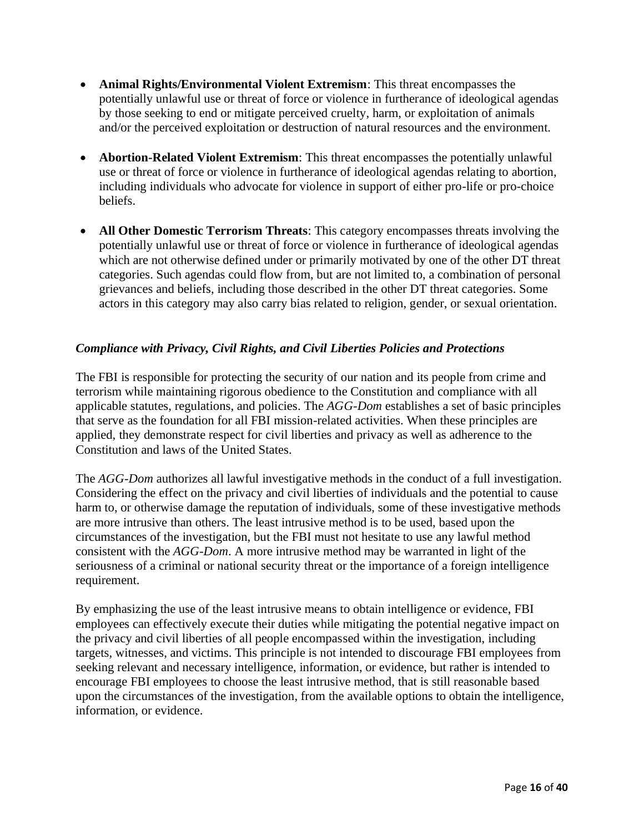- **Animal Rights/Environmental Violent Extremism**: This threat encompasses the potentially unlawful use or threat of force or violence in furtherance of ideological agendas by those seeking to end or mitigate perceived cruelty, harm, or exploitation of animals and/or the perceived exploitation or destruction of natural resources and the environment.
- **Abortion-Related Violent Extremism**: This threat encompasses the potentially unlawful use or threat of force or violence in furtherance of ideological agendas relating to abortion, including individuals who advocate for violence in support of either pro-life or pro-choice beliefs.
- **All Other Domestic Terrorism Threats**: This category encompasses threats involving the potentially unlawful use or threat of force or violence in furtherance of ideological agendas which are not otherwise defined under or primarily motivated by one of the other DT threat categories. Such agendas could flow from, but are not limited to, a combination of personal grievances and beliefs, including those described in the other DT threat categories. Some actors in this category may also carry bias related to religion, gender, or sexual orientation.

#### *Compliance with Privacy, Civil Rights, and Civil Liberties Policies and Protections*

The FBI is responsible for protecting the security of our nation and its people from crime and terrorism while maintaining rigorous obedience to the Constitution and compliance with all applicable statutes, regulations, and policies. The *AGG-Dom* establishes a set of basic principles that serve as the foundation for all FBI mission-related activities. When these principles are applied, they demonstrate respect for civil liberties and privacy as well as adherence to the Constitution and laws of the United States.

The *AGG-Dom* authorizes all lawful investigative methods in the conduct of a full investigation. Considering the effect on the privacy and civil liberties of individuals and the potential to cause harm to, or otherwise damage the reputation of individuals, some of these investigative methods are more intrusive than others. The least intrusive method is to be used, based upon the circumstances of the investigation, but the FBI must not hesitate to use any lawful method consistent with the *AGG-Dom*. A more intrusive method may be warranted in light of the seriousness of a criminal or national security threat or the importance of a foreign intelligence requirement.

By emphasizing the use of the least intrusive means to obtain intelligence or evidence, FBI employees can effectively execute their duties while mitigating the potential negative impact on the privacy and civil liberties of all people encompassed within the investigation, including targets, witnesses, and victims. This principle is not intended to discourage FBI employees from seeking relevant and necessary intelligence, information, or evidence, but rather is intended to encourage FBI employees to choose the least intrusive method, that is still reasonable based upon the circumstances of the investigation, from the available options to obtain the intelligence, information, or evidence.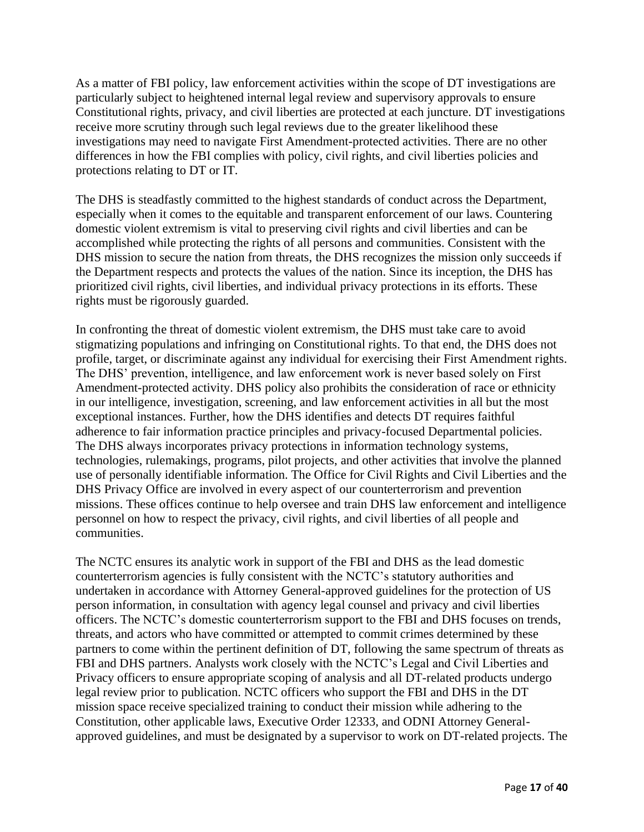As a matter of FBI policy, law enforcement activities within the scope of DT investigations are particularly subject to heightened internal legal review and supervisory approvals to ensure Constitutional rights, privacy, and civil liberties are protected at each juncture. DT investigations receive more scrutiny through such legal reviews due to the greater likelihood these investigations may need to navigate First Amendment-protected activities. There are no other differences in how the FBI complies with policy, civil rights, and civil liberties policies and protections relating to DT or IT.

The DHS is steadfastly committed to the highest standards of conduct across the Department, especially when it comes to the equitable and transparent enforcement of our laws. Countering domestic violent extremism is vital to preserving civil rights and civil liberties and can be accomplished while protecting the rights of all persons and communities. Consistent with the DHS mission to secure the nation from threats, the DHS recognizes the mission only succeeds if the Department respects and protects the values of the nation. Since its inception, the DHS has prioritized civil rights, civil liberties, and individual privacy protections in its efforts. These rights must be rigorously guarded.

In confronting the threat of domestic violent extremism, the DHS must take care to avoid stigmatizing populations and infringing on Constitutional rights. To that end, the DHS does not profile, target, or discriminate against any individual for exercising their First Amendment rights. The DHS' prevention, intelligence, and law enforcement work is never based solely on First Amendment-protected activity. DHS policy also prohibits the consideration of race or ethnicity in our intelligence, investigation, screening, and law enforcement activities in all but the most exceptional instances. Further, how the DHS identifies and detects DT requires faithful adherence to fair information practice principles and privacy-focused Departmental policies. The DHS always incorporates privacy protections in information technology systems, technologies, rulemakings, programs, pilot projects, and other activities that involve the planned use of personally identifiable information. The Office for Civil Rights and Civil Liberties and the DHS Privacy Office are involved in every aspect of our counterterrorism and prevention missions. These offices continue to help oversee and train DHS law enforcement and intelligence personnel on how to respect the privacy, civil rights, and civil liberties of all people and communities.

The NCTC ensures its analytic work in support of the FBI and DHS as the lead domestic counterterrorism agencies is fully consistent with the NCTC's statutory authorities and undertaken in accordance with Attorney General-approved guidelines for the protection of US person information, in consultation with agency legal counsel and privacy and civil liberties officers. The NCTC's domestic counterterrorism support to the FBI and DHS focuses on trends, threats, and actors who have committed or attempted to commit crimes determined by these partners to come within the pertinent definition of DT, following the same spectrum of threats as FBI and DHS partners. Analysts work closely with the NCTC's Legal and Civil Liberties and Privacy officers to ensure appropriate scoping of analysis and all DT-related products undergo legal review prior to publication. NCTC officers who support the FBI and DHS in the DT mission space receive specialized training to conduct their mission while adhering to the Constitution, other applicable laws, Executive Order 12333, and ODNI Attorney Generalapproved guidelines, and must be designated by a supervisor to work on DT-related projects. The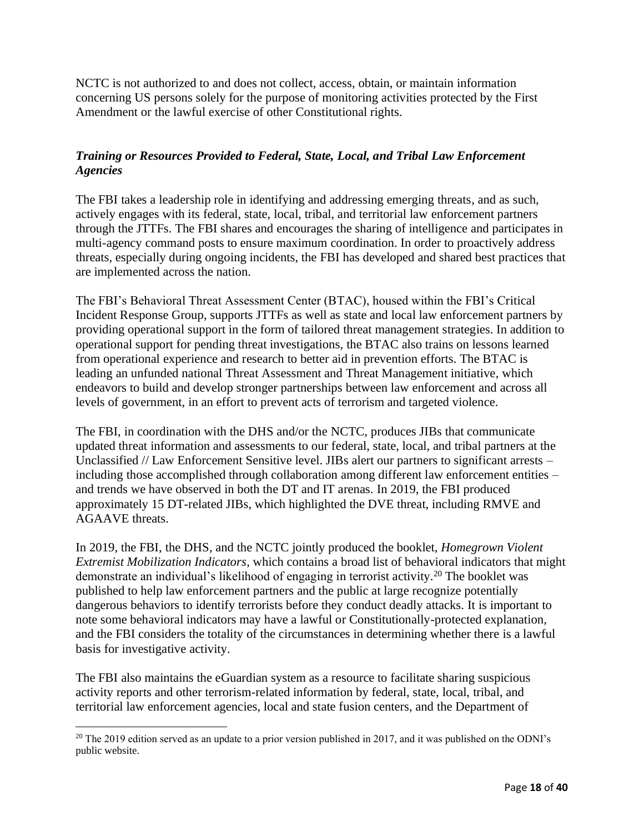NCTC is not authorized to and does not collect, access, obtain, or maintain information concerning US persons solely for the purpose of monitoring activities protected by the First Amendment or the lawful exercise of other Constitutional rights.

#### *Training or Resources Provided to Federal, State, Local, and Tribal Law Enforcement Agencies*

The FBI takes a leadership role in identifying and addressing emerging threats, and as such, actively engages with its federal, state, local, tribal, and territorial law enforcement partners through the JTTFs. The FBI shares and encourages the sharing of intelligence and participates in multi-agency command posts to ensure maximum coordination. In order to proactively address threats, especially during ongoing incidents, the FBI has developed and shared best practices that are implemented across the nation.

The FBI's Behavioral Threat Assessment Center (BTAC), housed within the FBI's Critical Incident Response Group, supports JTTFs as well as state and local law enforcement partners by providing operational support in the form of tailored threat management strategies. In addition to operational support for pending threat investigations, the BTAC also trains on lessons learned from operational experience and research to better aid in prevention efforts. The BTAC is leading an unfunded national Threat Assessment and Threat Management initiative, which endeavors to build and develop stronger partnerships between law enforcement and across all levels of government, in an effort to prevent acts of terrorism and targeted violence.

The FBI, in coordination with the DHS and/or the NCTC, produces JIBs that communicate updated threat information and assessments to our federal, state, local, and tribal partners at the Unclassified // Law Enforcement Sensitive level. JIBs alert our partners to significant arrests – including those accomplished through collaboration among different law enforcement entities – and trends we have observed in both the DT and IT arenas. In 2019, the FBI produced approximately 15 DT-related JIBs, which highlighted the DVE threat, including RMVE and AGAAVE threats.

In 2019, the FBI, the DHS, and the NCTC jointly produced the booklet, *Homegrown Violent Extremist Mobilization Indicators*, which contains a broad list of behavioral indicators that might demonstrate an individual's likelihood of engaging in terrorist activity.<sup>20</sup> The booklet was published to help law enforcement partners and the public at large recognize potentially dangerous behaviors to identify terrorists before they conduct deadly attacks. It is important to note some behavioral indicators may have a lawful or Constitutionally-protected explanation, and the FBI considers the totality of the circumstances in determining whether there is a lawful basis for investigative activity.

The FBI also maintains the eGuardian system as a resource to facilitate sharing suspicious activity reports and other terrorism-related information by federal, state, local, tribal, and territorial law enforcement agencies, local and state fusion centers, and the Department of

 $20$  The 2019 edition served as an update to a prior version published in 2017, and it was published on the ODNI's public website.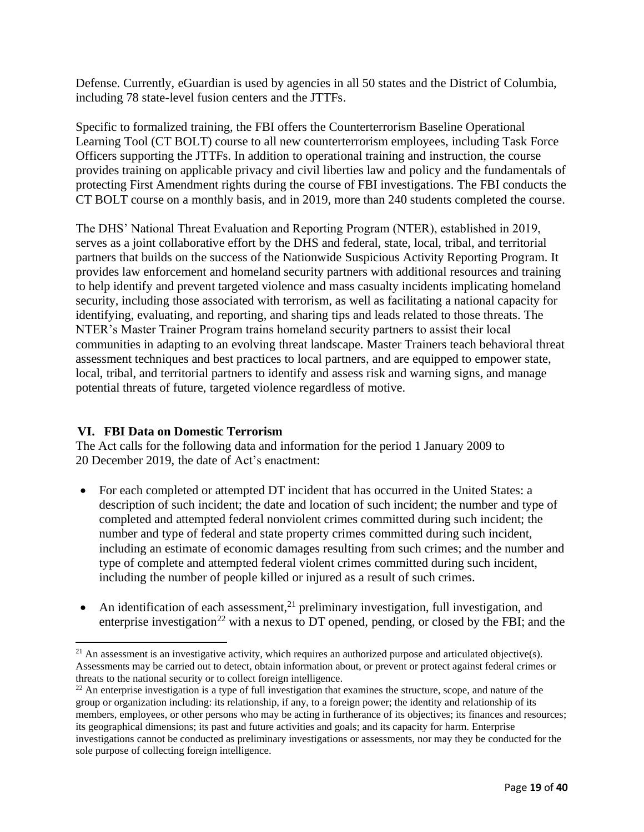Defense. Currently, eGuardian is used by agencies in all 50 states and the District of Columbia, including 78 state-level fusion centers and the JTTFs.

Specific to formalized training, the FBI offers the Counterterrorism Baseline Operational Learning Tool (CT BOLT) course to all new counterterrorism employees, including Task Force Officers supporting the JTTFs. In addition to operational training and instruction, the course provides training on applicable privacy and civil liberties law and policy and the fundamentals of protecting First Amendment rights during the course of FBI investigations. The FBI conducts the CT BOLT course on a monthly basis, and in 2019, more than 240 students completed the course.

The DHS' National Threat Evaluation and Reporting Program (NTER), established in 2019, serves as a joint collaborative effort by the DHS and federal, state, local, tribal, and territorial partners that builds on the success of the Nationwide Suspicious Activity Reporting Program. It provides law enforcement and homeland security partners with additional resources and training to help identify and prevent targeted violence and mass casualty incidents implicating homeland security, including those associated with terrorism, as well as facilitating a national capacity for identifying, evaluating, and reporting, and sharing tips and leads related to those threats. The NTER's Master Trainer Program trains homeland security partners to assist their local communities in adapting to an evolving threat landscape. Master Trainers teach behavioral threat assessment techniques and best practices to local partners, and are equipped to empower state, local, tribal, and territorial partners to identify and assess risk and warning signs, and manage potential threats of future, targeted violence regardless of motive.

#### <span id="page-18-0"></span>**VI. FBI Data on Domestic Terrorism**

The Act calls for the following data and information for the period 1 January 2009 to 20 December 2019, the date of Act's enactment:

- For each completed or attempted DT incident that has occurred in the United States: a description of such incident; the date and location of such incident; the number and type of completed and attempted federal nonviolent crimes committed during such incident; the number and type of federal and state property crimes committed during such incident, including an estimate of economic damages resulting from such crimes; and the number and type of complete and attempted federal violent crimes committed during such incident, including the number of people killed or injured as a result of such crimes.
- An identification of each assessment, $^{21}$  preliminary investigation, full investigation, and enterprise investigation<sup>22</sup> with a nexus to DT opened, pending, or closed by the FBI; and the

 $21$  An assessment is an investigative activity, which requires an authorized purpose and articulated objective(s). Assessments may be carried out to detect, obtain information about, or prevent or protect against federal crimes or threats to the national security or to collect foreign intelligence.

<sup>&</sup>lt;sup>22</sup> An enterprise investigation is a type of full investigation that examines the structure, scope, and nature of the group or organization including: its relationship, if any, to a foreign power; the identity and relationship of its members, employees, or other persons who may be acting in furtherance of its objectives; its finances and resources; its geographical dimensions; its past and future activities and goals; and its capacity for harm. Enterprise investigations cannot be conducted as preliminary investigations or assessments, nor may they be conducted for the sole purpose of collecting foreign intelligence.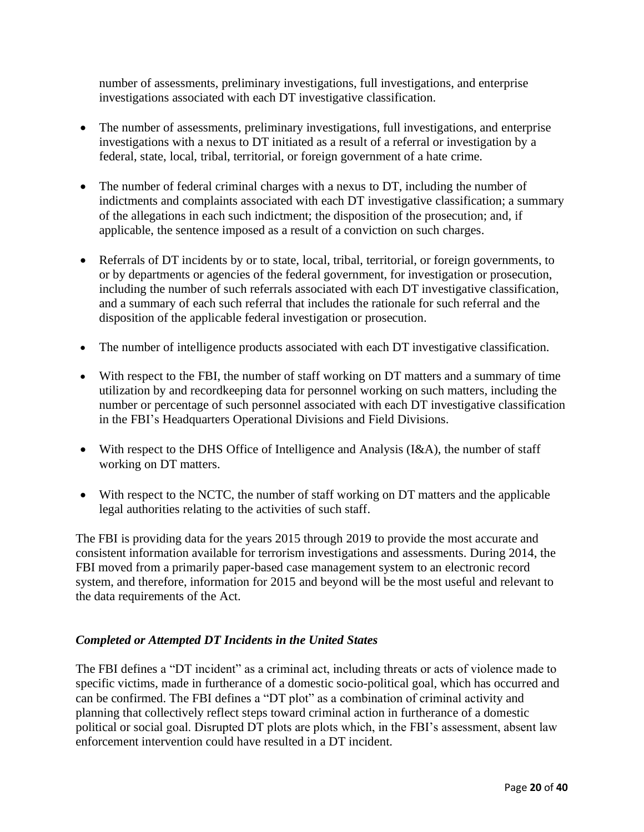number of assessments, preliminary investigations, full investigations, and enterprise investigations associated with each DT investigative classification.

- The number of assessments, preliminary investigations, full investigations, and enterprise investigations with a nexus to DT initiated as a result of a referral or investigation by a federal, state, local, tribal, territorial, or foreign government of a hate crime.
- The number of federal criminal charges with a nexus to DT, including the number of indictments and complaints associated with each DT investigative classification; a summary of the allegations in each such indictment; the disposition of the prosecution; and, if applicable, the sentence imposed as a result of a conviction on such charges.
- Referrals of DT incidents by or to state, local, tribal, territorial, or foreign governments, to or by departments or agencies of the federal government, for investigation or prosecution, including the number of such referrals associated with each DT investigative classification, and a summary of each such referral that includes the rationale for such referral and the disposition of the applicable federal investigation or prosecution.
- The number of intelligence products associated with each DT investigative classification.
- With respect to the FBI, the number of staff working on DT matters and a summary of time utilization by and recordkeeping data for personnel working on such matters, including the number or percentage of such personnel associated with each DT investigative classification in the FBI's Headquarters Operational Divisions and Field Divisions.
- With respect to the DHS Office of Intelligence and Analysis (I&A), the number of staff working on DT matters.
- With respect to the NCTC, the number of staff working on DT matters and the applicable legal authorities relating to the activities of such staff.

The FBI is providing data for the years 2015 through 2019 to provide the most accurate and consistent information available for terrorism investigations and assessments. During 2014, the FBI moved from a primarily paper-based case management system to an electronic record system, and therefore, information for 2015 and beyond will be the most useful and relevant to the data requirements of the Act.

#### *Completed or Attempted DT Incidents in the United States*

The FBI defines a "DT incident" as a criminal act, including threats or acts of violence made to specific victims, made in furtherance of a domestic socio-political goal, which has occurred and can be confirmed. The FBI defines a "DT plot" as a combination of criminal activity and planning that collectively reflect steps toward criminal action in furtherance of a domestic political or social goal. Disrupted DT plots are plots which, in the FBI's assessment, absent law enforcement intervention could have resulted in a DT incident.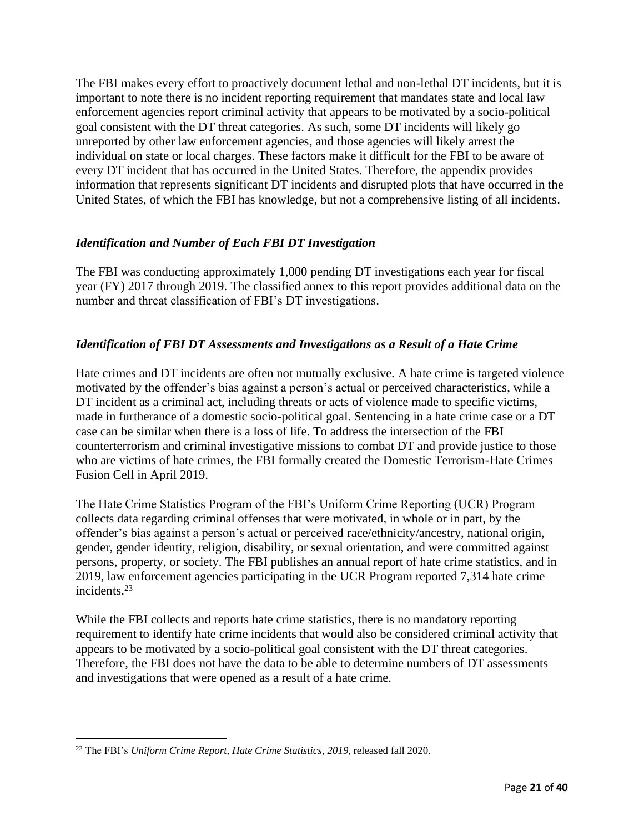The FBI makes every effort to proactively document lethal and non-lethal DT incidents, but it is important to note there is no incident reporting requirement that mandates state and local law enforcement agencies report criminal activity that appears to be motivated by a socio-political goal consistent with the DT threat categories. As such, some DT incidents will likely go unreported by other law enforcement agencies, and those agencies will likely arrest the individual on state or local charges. These factors make it difficult for the FBI to be aware of every DT incident that has occurred in the United States. Therefore, the appendix provides information that represents significant DT incidents and disrupted plots that have occurred in the United States, of which the FBI has knowledge, but not a comprehensive listing of all incidents.

#### *Identification and Number of Each FBI DT Investigation*

The FBI was conducting approximately 1,000 pending DT investigations each year for fiscal year (FY) 2017 through 2019. The classified annex to this report provides additional data on the number and threat classification of FBI's DT investigations.

#### *Identification of FBI DT Assessments and Investigations as a Result of a Hate Crime*

Hate crimes and DT incidents are often not mutually exclusive. A hate crime is targeted violence motivated by the offender's bias against a person's actual or perceived characteristics, while a DT incident as a criminal act, including threats or acts of violence made to specific victims, made in furtherance of a domestic socio-political goal. Sentencing in a hate crime case or a DT case can be similar when there is a loss of life. To address the intersection of the FBI counterterrorism and criminal investigative missions to combat DT and provide justice to those who are victims of hate crimes, the FBI formally created the Domestic Terrorism-Hate Crimes Fusion Cell in April 2019.

The Hate Crime Statistics Program of the FBI's Uniform Crime Reporting (UCR) Program collects data regarding criminal offenses that were motivated, in whole or in part, by the offender's bias against a person's actual or perceived race/ethnicity/ancestry, national origin, gender, gender identity, religion, disability, or sexual orientation, and were committed against persons, property, or society. The FBI publishes an annual report of hate crime statistics, and in 2019, law enforcement agencies participating in the UCR Program reported 7,314 hate crime incidents.<sup>23</sup>

While the FBI collects and reports hate crime statistics, there is no mandatory reporting requirement to identify hate crime incidents that would also be considered criminal activity that appears to be motivated by a socio-political goal consistent with the DT threat categories. Therefore, the FBI does not have the data to be able to determine numbers of DT assessments and investigations that were opened as a result of a hate crime.

<sup>23</sup> The FBI's *Uniform Crime Report, Hate Crime Statistics, 2019*, released fall 2020.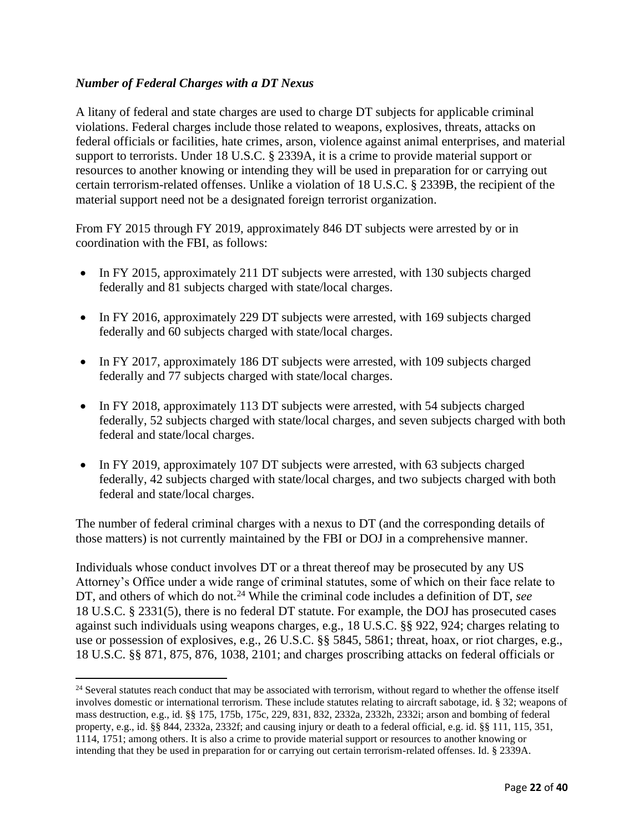#### *Number of Federal Charges with a DT Nexus*

A litany of federal and state charges are used to charge DT subjects for applicable criminal violations. Federal charges include those related to weapons, explosives, threats, attacks on federal officials or facilities, hate crimes, arson, violence against animal enterprises, and material support to terrorists. Under 18 U.S.C. § 2339A, it is a crime to provide material support or resources to another knowing or intending they will be used in preparation for or carrying out certain terrorism-related offenses. Unlike a violation of 18 U.S.C. § 2339B, the recipient of the material support need not be a designated foreign terrorist organization.

From FY 2015 through FY 2019, approximately 846 DT subjects were arrested by or in coordination with the FBI, as follows:

- In FY 2015, approximately 211 DT subjects were arrested, with 130 subjects charged federally and 81 subjects charged with state/local charges.
- In FY 2016, approximately 229 DT subjects were arrested, with 169 subjects charged federally and 60 subjects charged with state/local charges.
- In FY 2017, approximately 186 DT subjects were arrested, with 109 subjects charged federally and 77 subjects charged with state/local charges.
- In FY 2018, approximately 113 DT subjects were arrested, with 54 subjects charged federally, 52 subjects charged with state/local charges, and seven subjects charged with both federal and state/local charges.
- In FY 2019, approximately 107 DT subjects were arrested, with 63 subjects charged federally, 42 subjects charged with state/local charges, and two subjects charged with both federal and state/local charges.

The number of federal criminal charges with a nexus to DT (and the corresponding details of those matters) is not currently maintained by the FBI or DOJ in a comprehensive manner.

Individuals whose conduct involves DT or a threat thereof may be prosecuted by any US Attorney's Office under a wide range of criminal statutes, some of which on their face relate to DT, and others of which do not.<sup>24</sup> While the criminal code includes a definition of DT, *see* 18 U.S.C. § 2331(5), there is no federal DT statute. For example, the DOJ has prosecuted cases against such individuals using weapons charges, e.g., 18 U.S.C. §§ 922, 924; charges relating to use or possession of explosives, e.g., 26 U.S.C. §§ 5845, 5861; threat, hoax, or riot charges, e.g., 18 U.S.C. §§ 871, 875, 876, 1038, 2101; and charges proscribing attacks on federal officials or

 $24$  Several statutes reach conduct that may be associated with terrorism, without regard to whether the offense itself involves domestic or international terrorism. These include statutes relating to aircraft sabotage, id. § 32; weapons of mass destruction, e.g., id. §§ 175, 175b, 175c, 229, 831, 832, 2332a, 2332h, 2332i; arson and bombing of federal property, e.g., id. §§ 844, 2332a, 2332f; and causing injury or death to a federal official, e.g. id. §§ 111, 115, 351, 1114, 1751; among others. It is also a crime to provide material support or resources to another knowing or intending that they be used in preparation for or carrying out certain terrorism-related offenses. Id. § 2339A.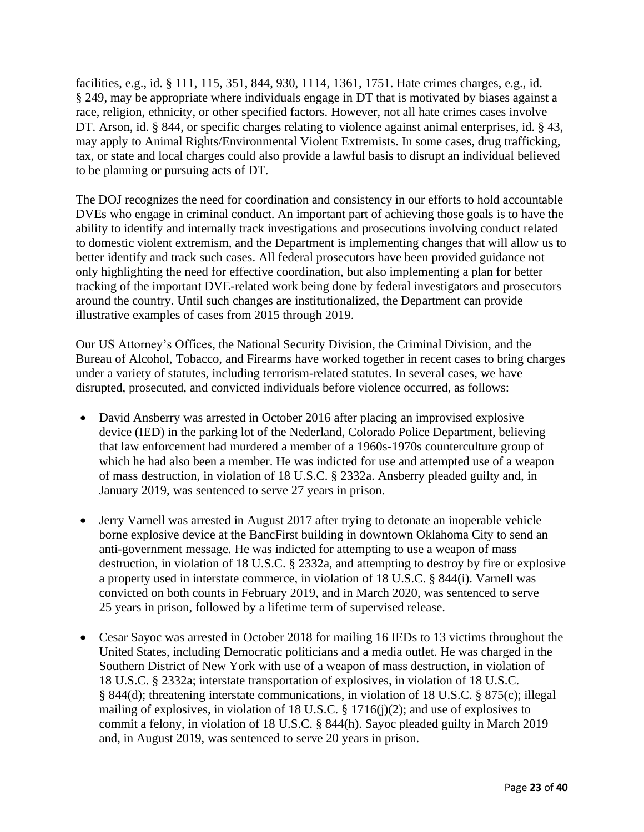facilities, e.g., id. § 111, 115, 351, 844, 930, 1114, 1361, 1751. Hate crimes charges, e.g., id. § 249, may be appropriate where individuals engage in DT that is motivated by biases against a race, religion, ethnicity, or other specified factors. However, not all hate crimes cases involve DT. Arson, id. § 844, or specific charges relating to violence against animal enterprises, id. § 43, may apply to Animal Rights/Environmental Violent Extremists. In some cases, drug trafficking, tax, or state and local charges could also provide a lawful basis to disrupt an individual believed to be planning or pursuing acts of DT.

The DOJ recognizes the need for coordination and consistency in our efforts to hold accountable DVEs who engage in criminal conduct. An important part of achieving those goals is to have the ability to identify and internally track investigations and prosecutions involving conduct related to domestic violent extremism, and the Department is implementing changes that will allow us to better identify and track such cases. All federal prosecutors have been provided guidance not only highlighting the need for effective coordination, but also implementing a plan for better tracking of the important DVE-related work being done by federal investigators and prosecutors around the country. Until such changes are institutionalized, the Department can provide illustrative examples of cases from 2015 through 2019.

Our US Attorney's Offices, the National Security Division, the Criminal Division, and the Bureau of Alcohol, Tobacco, and Firearms have worked together in recent cases to bring charges under a variety of statutes, including terrorism-related statutes. In several cases, we have disrupted, prosecuted, and convicted individuals before violence occurred, as follows:

- David Ansberry was arrested in October 2016 after placing an improvised explosive device (IED) in the parking lot of the Nederland, Colorado Police Department, believing that law enforcement had murdered a member of a 1960s-1970s counterculture group of which he had also been a member. He was indicted for use and attempted use of a weapon of mass destruction, in violation of 18 U.S.C. § 2332a. Ansberry pleaded guilty and, in January 2019, was sentenced to serve 27 years in prison.
- Jerry Varnell was arrested in August 2017 after trying to detonate an inoperable vehicle borne explosive device at the BancFirst building in downtown Oklahoma City to send an anti-government message. He was indicted for attempting to use a weapon of mass destruction, in violation of 18 U.S.C. § 2332a, and attempting to destroy by fire or explosive a property used in interstate commerce, in violation of 18 U.S.C. § 844(i). Varnell was convicted on both counts in February 2019, and in March 2020, was sentenced to serve 25 years in prison, followed by a lifetime term of supervised release.
- Cesar Sayoc was arrested in October 2018 for mailing 16 IEDs to 13 victims throughout the United States, including Democratic politicians and a media outlet. He was charged in the Southern District of New York with use of a weapon of mass destruction, in violation of 18 U.S.C. § 2332a; interstate transportation of explosives, in violation of 18 U.S.C. § 844(d); threatening interstate communications, in violation of 18 U.S.C. § 875(c); illegal mailing of explosives, in violation of 18 U.S.C. § 1716(j)(2); and use of explosives to commit a felony, in violation of 18 U.S.C. § 844(h). Sayoc pleaded guilty in March 2019 and, in August 2019, was sentenced to serve 20 years in prison.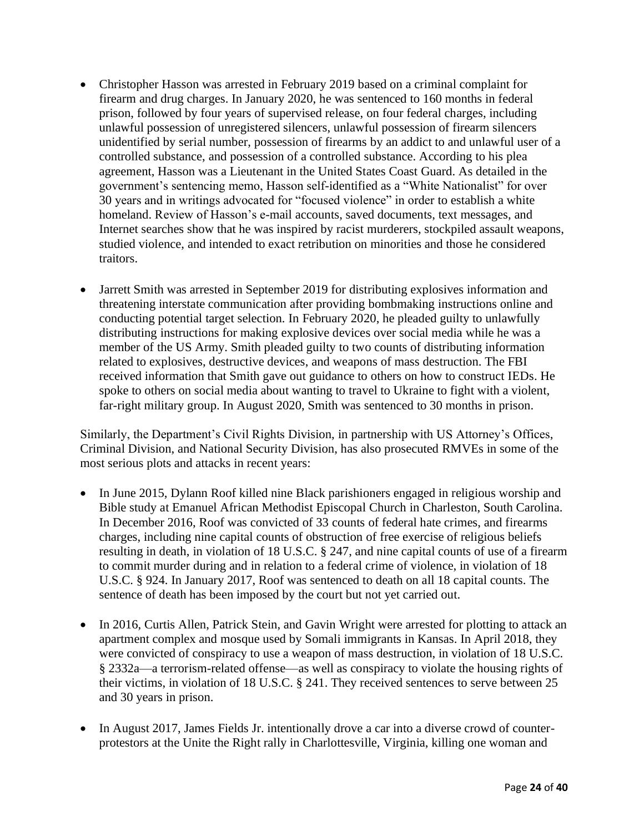- Christopher Hasson was arrested in February 2019 based on a criminal complaint for firearm and drug charges. In January 2020, he was sentenced to 160 months in federal prison, followed by four years of supervised release, on four federal charges, including unlawful possession of unregistered silencers, unlawful possession of firearm silencers unidentified by serial number, possession of firearms by an addict to and unlawful user of a controlled substance, and possession of a controlled substance. According to his plea agreement, Hasson was a Lieutenant in the United States Coast Guard. As detailed in the government's sentencing memo, Hasson self-identified as a "White Nationalist" for over 30 years and in writings advocated for "focused violence" in order to establish a white homeland. Review of Hasson's e-mail accounts, saved documents, text messages, and Internet searches show that he was inspired by racist murderers, stockpiled assault weapons, studied violence, and intended to exact retribution on minorities and those he considered traitors.
- Jarrett Smith was arrested in September 2019 for distributing explosives information and threatening interstate communication after providing bombmaking instructions online and conducting potential target selection. In February 2020, he pleaded guilty to unlawfully distributing instructions for making explosive devices over social media while he was a member of the US Army. Smith pleaded guilty to two counts of distributing information related to explosives, destructive devices, and weapons of mass destruction. The FBI received information that Smith gave out guidance to others on how to construct IEDs. He spoke to others on social media about wanting to travel to Ukraine to fight with a violent, far-right military group. In August 2020, Smith was sentenced to 30 months in prison.

Similarly, the Department's Civil Rights Division, in partnership with US Attorney's Offices, Criminal Division, and National Security Division, has also prosecuted RMVEs in some of the most serious plots and attacks in recent years:

- In June 2015, Dylann Roof killed nine Black parishioners engaged in religious worship and Bible study at Emanuel African Methodist Episcopal Church in Charleston, South Carolina. In December 2016, Roof was convicted of 33 counts of federal hate crimes, and firearms charges, including nine capital counts of obstruction of free exercise of religious beliefs resulting in death, in violation of 18 U.S.C. § 247, and nine capital counts of use of a firearm to commit murder during and in relation to a federal crime of violence, in violation of 18 U.S.C. § 924. In January 2017, Roof was sentenced to death on all 18 capital counts. The sentence of death has been imposed by the court but not yet carried out.
- In 2016, Curtis Allen, Patrick Stein, and Gavin Wright were arrested for plotting to attack an apartment complex and mosque used by Somali immigrants in Kansas. In April 2018, they were convicted of conspiracy to use a weapon of mass destruction, in violation of 18 U.S.C. § 2332a—a terrorism-related offense—as well as conspiracy to violate the housing rights of their victims, in violation of 18 U.S.C. § 241. They received sentences to serve between 25 and 30 years in prison.
- In August 2017, James Fields Jr. intentionally drove a car into a diverse crowd of counterprotestors at the Unite the Right rally in Charlottesville, Virginia, killing one woman and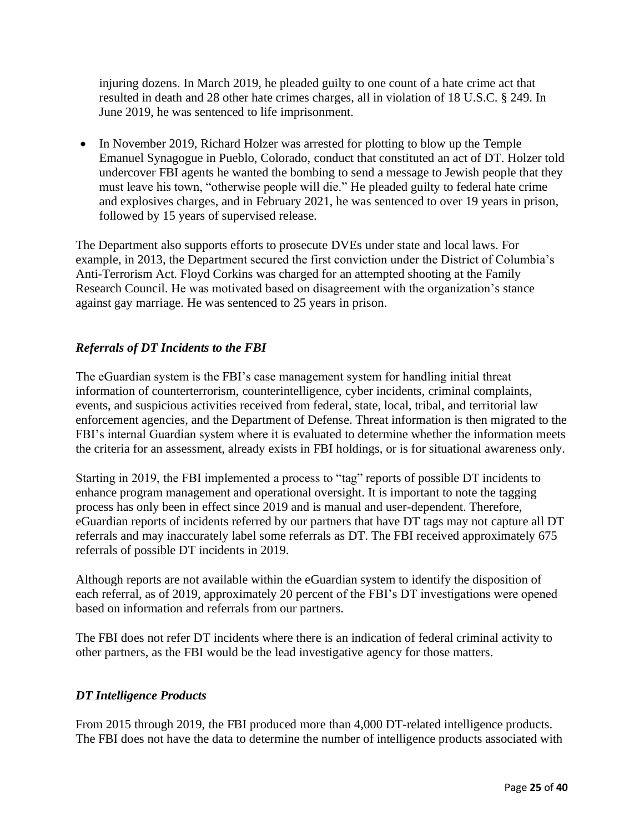injuring dozens. In March 2019, he pleaded guilty to one count of a hate crime act that resulted in death and 28 other hate crimes charges, all in violation of 18 U.S.C. § 249. In June 2019, he was sentenced to life imprisonment.

• In November 2019, Richard Holzer was arrested for plotting to blow up the Temple Emanuel Synagogue in Pueblo, Colorado, conduct that constituted an act of DT. Holzer told undercover FBI agents he wanted the bombing to send a message to Jewish people that they must leave his town, "otherwise people will die." He pleaded guilty to federal hate crime and explosives charges, and in February 2021, he was sentenced to over 19 years in prison, followed by 15 years of supervised release.

The Department also supports efforts to prosecute DVEs under state and local laws. For example, in 2013, the Department secured the first conviction under the District of Columbia's Anti-Terrorism Act. Floyd Corkins was charged for an attempted shooting at the Family Research Council. He was motivated based on disagreement with the organization's stance against gay marriage. He was sentenced to 25 years in prison.

#### *Referrals of DT Incidents to the FBI*

The eGuardian system is the FBI's case management system for handling initial threat information of counterterrorism, counterintelligence, cyber incidents, criminal complaints, events, and suspicious activities received from federal, state, local, tribal, and territorial law enforcement agencies, and the Department of Defense. Threat information is then migrated to the FBI's internal Guardian system where it is evaluated to determine whether the information meets the criteria for an assessment, already exists in FBI holdings, or is for situational awareness only.

Starting in 2019, the FBI implemented a process to "tag" reports of possible DT incidents to enhance program management and operational oversight. It is important to note the tagging process has only been in effect since 2019 and is manual and user-dependent. Therefore, eGuardian reports of incidents referred by our partners that have DT tags may not capture all DT referrals and may inaccurately label some referrals as DT. The FBI received approximately 675 referrals of possible DT incidents in 2019.

Although reports are not available within the eGuardian system to identify the disposition of each referral, as of 2019, approximately 20 percent of the FBI's DT investigations were opened based on information and referrals from our partners.

The FBI does not refer DT incidents where there is an indication of federal criminal activity to other partners, as the FBI would be the lead investigative agency for those matters.

#### *DT Intelligence Products*

From 2015 through 2019, the FBI produced more than 4,000 DT-related intelligence products. The FBI does not have the data to determine the number of intelligence products associated with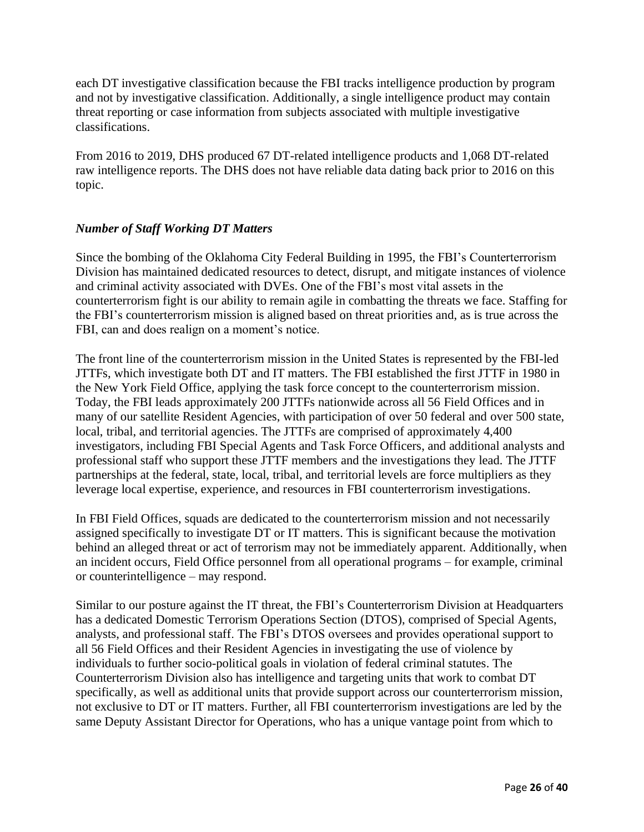each DT investigative classification because the FBI tracks intelligence production by program and not by investigative classification. Additionally, a single intelligence product may contain threat reporting or case information from subjects associated with multiple investigative classifications.

From 2016 to 2019, DHS produced 67 DT-related intelligence products and 1,068 DT-related raw intelligence reports. The DHS does not have reliable data dating back prior to 2016 on this topic.

#### *Number of Staff Working DT Matters*

Since the bombing of the Oklahoma City Federal Building in 1995, the FBI's Counterterrorism Division has maintained dedicated resources to detect, disrupt, and mitigate instances of violence and criminal activity associated with DVEs. One of the FBI's most vital assets in the counterterrorism fight is our ability to remain agile in combatting the threats we face. Staffing for the FBI's counterterrorism mission is aligned based on threat priorities and, as is true across the FBI, can and does realign on a moment's notice.

The front line of the counterterrorism mission in the United States is represented by the FBI-led JTTFs, which investigate both DT and IT matters. The FBI established the first JTTF in 1980 in the New York Field Office, applying the task force concept to the counterterrorism mission. Today, the FBI leads approximately 200 JTTFs nationwide across all 56 Field Offices and in many of our satellite Resident Agencies, with participation of over 50 federal and over 500 state, local, tribal, and territorial agencies. The JTTFs are comprised of approximately 4,400 investigators, including FBI Special Agents and Task Force Officers, and additional analysts and professional staff who support these JTTF members and the investigations they lead. The JTTF partnerships at the federal, state, local, tribal, and territorial levels are force multipliers as they leverage local expertise, experience, and resources in FBI counterterrorism investigations.

In FBI Field Offices, squads are dedicated to the counterterrorism mission and not necessarily assigned specifically to investigate DT or IT matters. This is significant because the motivation behind an alleged threat or act of terrorism may not be immediately apparent. Additionally, when an incident occurs, Field Office personnel from all operational programs – for example, criminal or counterintelligence – may respond.

Similar to our posture against the IT threat, the FBI's Counterterrorism Division at Headquarters has a dedicated Domestic Terrorism Operations Section (DTOS), comprised of Special Agents, analysts, and professional staff. The FBI's DTOS oversees and provides operational support to all 56 Field Offices and their Resident Agencies in investigating the use of violence by individuals to further socio-political goals in violation of federal criminal statutes. The Counterterrorism Division also has intelligence and targeting units that work to combat DT specifically, as well as additional units that provide support across our counterterrorism mission, not exclusive to DT or IT matters. Further, all FBI counterterrorism investigations are led by the same Deputy Assistant Director for Operations, who has a unique vantage point from which to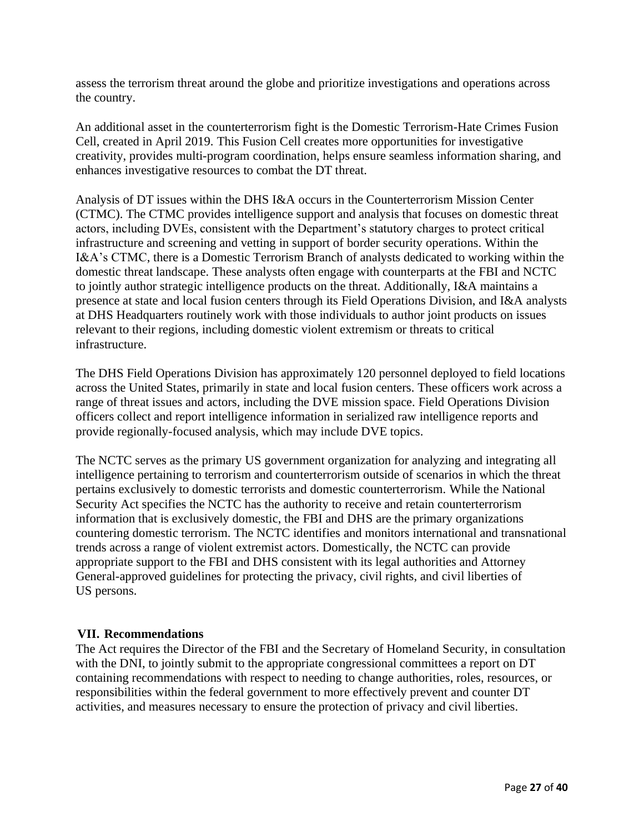assess the terrorism threat around the globe and prioritize investigations and operations across the country.

An additional asset in the counterterrorism fight is the Domestic Terrorism-Hate Crimes Fusion Cell, created in April 2019. This Fusion Cell creates more opportunities for investigative creativity, provides multi-program coordination, helps ensure seamless information sharing, and enhances investigative resources to combat the DT threat.

Analysis of DT issues within the DHS I&A occurs in the Counterterrorism Mission Center (CTMC). The CTMC provides intelligence support and analysis that focuses on domestic threat actors, including DVEs, consistent with the Department's statutory charges to protect critical infrastructure and screening and vetting in support of border security operations. Within the I&A's CTMC, there is a Domestic Terrorism Branch of analysts dedicated to working within the domestic threat landscape. These analysts often engage with counterparts at the FBI and NCTC to jointly author strategic intelligence products on the threat. Additionally, I&A maintains a presence at state and local fusion centers through its Field Operations Division, and I&A analysts at DHS Headquarters routinely work with those individuals to author joint products on issues relevant to their regions, including domestic violent extremism or threats to critical infrastructure.

The DHS Field Operations Division has approximately 120 personnel deployed to field locations across the United States, primarily in state and local fusion centers. These officers work across a range of threat issues and actors, including the DVE mission space. Field Operations Division officers collect and report intelligence information in serialized raw intelligence reports and provide regionally-focused analysis, which may include DVE topics.

The NCTC serves as the primary US government organization for analyzing and integrating all intelligence pertaining to terrorism and counterterrorism outside of scenarios in which the threat pertains exclusively to domestic terrorists and domestic counterterrorism. While the National Security Act specifies the NCTC has the authority to receive and retain counterterrorism information that is exclusively domestic, the FBI and DHS are the primary organizations countering domestic terrorism. The NCTC identifies and monitors international and transnational trends across a range of violent extremist actors. Domestically, the NCTC can provide appropriate support to the FBI and DHS consistent with its legal authorities and Attorney General-approved guidelines for protecting the privacy, civil rights, and civil liberties of US persons.

#### <span id="page-26-0"></span>**VII. Recommendations**

The Act requires the Director of the FBI and the Secretary of Homeland Security, in consultation with the DNI, to jointly submit to the appropriate congressional committees a report on DT containing recommendations with respect to needing to change authorities, roles, resources, or responsibilities within the federal government to more effectively prevent and counter DT activities, and measures necessary to ensure the protection of privacy and civil liberties.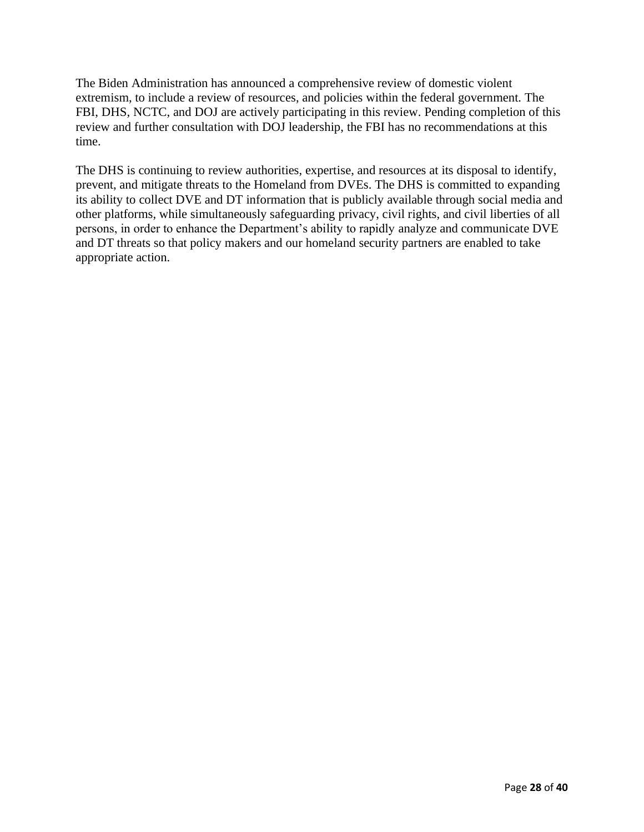The Biden Administration has announced a comprehensive review of domestic violent extremism, to include a review of resources, and policies within the federal government. The FBI, DHS, NCTC, and DOJ are actively participating in this review. Pending completion of this review and further consultation with DOJ leadership, the FBI has no recommendations at this time.

The DHS is continuing to review authorities, expertise, and resources at its disposal to identify, prevent, and mitigate threats to the Homeland from DVEs. The DHS is committed to expanding its ability to collect DVE and DT information that is publicly available through social media and other platforms, while simultaneously safeguarding privacy, civil rights, and civil liberties of all persons, in order to enhance the Department's ability to rapidly analyze and communicate DVE and DT threats so that policy makers and our homeland security partners are enabled to take appropriate action.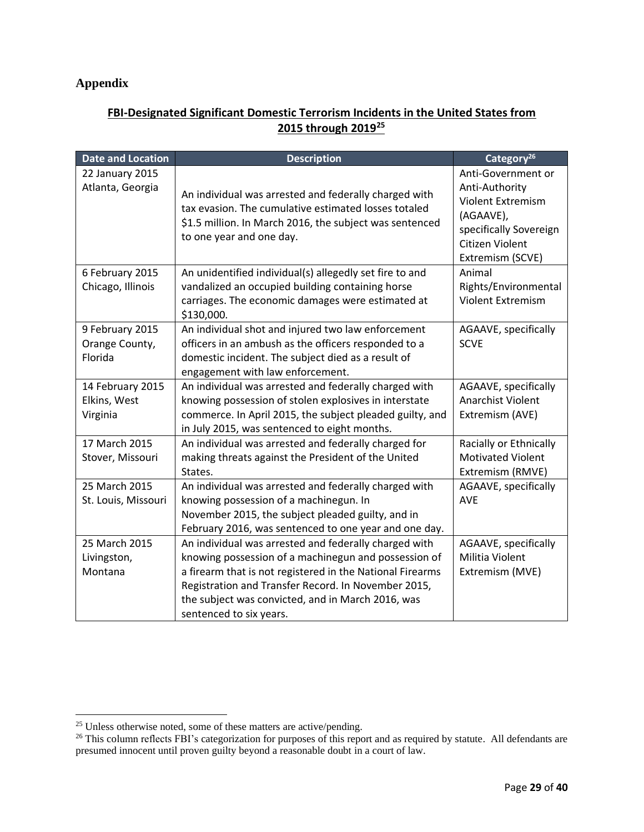#### <span id="page-28-0"></span>**Appendix**

#### **FBI-Designated Significant Domestic Terrorism Incidents in the United States from 2015 through 2019<sup>25</sup>**

| <b>Date and Location</b>                     | <b>Description</b>                                                                                                                                                                                                                                                                                                | Category <sup>26</sup>                                                                                                                         |
|----------------------------------------------|-------------------------------------------------------------------------------------------------------------------------------------------------------------------------------------------------------------------------------------------------------------------------------------------------------------------|------------------------------------------------------------------------------------------------------------------------------------------------|
| 22 January 2015<br>Atlanta, Georgia          | An individual was arrested and federally charged with<br>tax evasion. The cumulative estimated losses totaled<br>\$1.5 million. In March 2016, the subject was sentenced<br>to one year and one day.                                                                                                              | Anti-Government or<br>Anti-Authority<br><b>Violent Extremism</b><br>(AGAAVE),<br>specifically Sovereign<br>Citizen Violent<br>Extremism (SCVE) |
| 6 February 2015<br>Chicago, Illinois         | An unidentified individual(s) allegedly set fire to and<br>vandalized an occupied building containing horse<br>carriages. The economic damages were estimated at<br>\$130,000.                                                                                                                                    | Animal<br>Rights/Environmental<br><b>Violent Extremism</b>                                                                                     |
| 9 February 2015<br>Orange County,<br>Florida | An individual shot and injured two law enforcement<br>officers in an ambush as the officers responded to a<br>domestic incident. The subject died as a result of<br>engagement with law enforcement.                                                                                                              | AGAAVE, specifically<br><b>SCVE</b>                                                                                                            |
| 14 February 2015<br>Elkins, West<br>Virginia | An individual was arrested and federally charged with<br>knowing possession of stolen explosives in interstate<br>commerce. In April 2015, the subject pleaded guilty, and<br>in July 2015, was sentenced to eight months.                                                                                        | AGAAVE, specifically<br>Anarchist Violent<br>Extremism (AVE)                                                                                   |
| 17 March 2015<br>Stover, Missouri            | An individual was arrested and federally charged for<br>making threats against the President of the United<br>States.                                                                                                                                                                                             | Racially or Ethnically<br><b>Motivated Violent</b><br>Extremism (RMVE)                                                                         |
| 25 March 2015<br>St. Louis, Missouri         | An individual was arrested and federally charged with<br>knowing possession of a machinegun. In<br>November 2015, the subject pleaded guilty, and in<br>February 2016, was sentenced to one year and one day.                                                                                                     | AGAAVE, specifically<br><b>AVE</b>                                                                                                             |
| 25 March 2015<br>Livingston,<br>Montana      | An individual was arrested and federally charged with<br>knowing possession of a machinegun and possession of<br>a firearm that is not registered in the National Firearms<br>Registration and Transfer Record. In November 2015,<br>the subject was convicted, and in March 2016, was<br>sentenced to six years. | AGAAVE, specifically<br>Militia Violent<br>Extremism (MVE)                                                                                     |

<sup>&</sup>lt;sup>25</sup> Unless otherwise noted, some of these matters are active/pending.

<sup>&</sup>lt;sup>26</sup> This column reflects FBI's categorization for purposes of this report and as required by statute. All defendants are presumed innocent until proven guilty beyond a reasonable doubt in a court of law.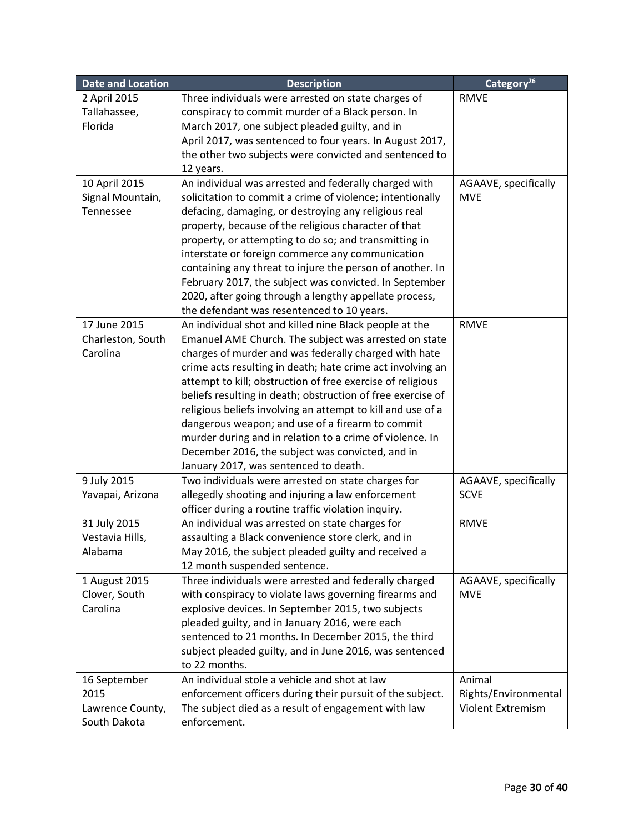| <b>Date and Location</b> | <b>Description</b>                                                                                           | Category <sup>26</sup> |
|--------------------------|--------------------------------------------------------------------------------------------------------------|------------------------|
| 2 April 2015             | Three individuals were arrested on state charges of                                                          | <b>RMVE</b>            |
| Tallahassee,             | conspiracy to commit murder of a Black person. In                                                            |                        |
| Florida                  | March 2017, one subject pleaded guilty, and in                                                               |                        |
|                          | April 2017, was sentenced to four years. In August 2017,                                                     |                        |
|                          | the other two subjects were convicted and sentenced to                                                       |                        |
|                          | 12 years.                                                                                                    |                        |
| 10 April 2015            | An individual was arrested and federally charged with                                                        | AGAAVE, specifically   |
| Signal Mountain,         | solicitation to commit a crime of violence; intentionally                                                    | <b>MVE</b>             |
| Tennessee                | defacing, damaging, or destroying any religious real                                                         |                        |
|                          | property, because of the religious character of that                                                         |                        |
|                          | property, or attempting to do so; and transmitting in                                                        |                        |
|                          | interstate or foreign commerce any communication                                                             |                        |
|                          | containing any threat to injure the person of another. In                                                    |                        |
|                          | February 2017, the subject was convicted. In September                                                       |                        |
|                          | 2020, after going through a lengthy appellate process,                                                       |                        |
|                          | the defendant was resentenced to 10 years.                                                                   |                        |
| 17 June 2015             | An individual shot and killed nine Black people at the                                                       | <b>RMVE</b>            |
| Charleston, South        | Emanuel AME Church. The subject was arrested on state                                                        |                        |
| Carolina                 | charges of murder and was federally charged with hate                                                        |                        |
|                          | crime acts resulting in death; hate crime act involving an                                                   |                        |
|                          | attempt to kill; obstruction of free exercise of religious                                                   |                        |
|                          | beliefs resulting in death; obstruction of free exercise of                                                  |                        |
|                          | religious beliefs involving an attempt to kill and use of a                                                  |                        |
|                          | dangerous weapon; and use of a firearm to commit                                                             |                        |
|                          | murder during and in relation to a crime of violence. In<br>December 2016, the subject was convicted, and in |                        |
|                          | January 2017, was sentenced to death.                                                                        |                        |
| 9 July 2015              | Two individuals were arrested on state charges for                                                           | AGAAVE, specifically   |
| Yavapai, Arizona         | allegedly shooting and injuring a law enforcement                                                            | <b>SCVE</b>            |
|                          | officer during a routine traffic violation inquiry.                                                          |                        |
| 31 July 2015             | An individual was arrested on state charges for                                                              | <b>RMVE</b>            |
| Vestavia Hills,          | assaulting a Black convenience store clerk, and in                                                           |                        |
| Alabama                  | May 2016, the subject pleaded guilty and received a                                                          |                        |
|                          | 12 month suspended sentence.                                                                                 |                        |
| 1 August 2015            | Three individuals were arrested and federally charged                                                        | AGAAVE, specifically   |
| Clover, South            | with conspiracy to violate laws governing firearms and                                                       | <b>MVE</b>             |
| Carolina                 | explosive devices. In September 2015, two subjects                                                           |                        |
|                          | pleaded guilty, and in January 2016, were each                                                               |                        |
|                          | sentenced to 21 months. In December 2015, the third                                                          |                        |
|                          | subject pleaded guilty, and in June 2016, was sentenced                                                      |                        |
|                          | to 22 months.                                                                                                |                        |
| 16 September             | An individual stole a vehicle and shot at law                                                                | Animal                 |
| 2015                     | enforcement officers during their pursuit of the subject.                                                    | Rights/Environmental   |
| Lawrence County,         | The subject died as a result of engagement with law                                                          | Violent Extremism      |
| South Dakota             | enforcement.                                                                                                 |                        |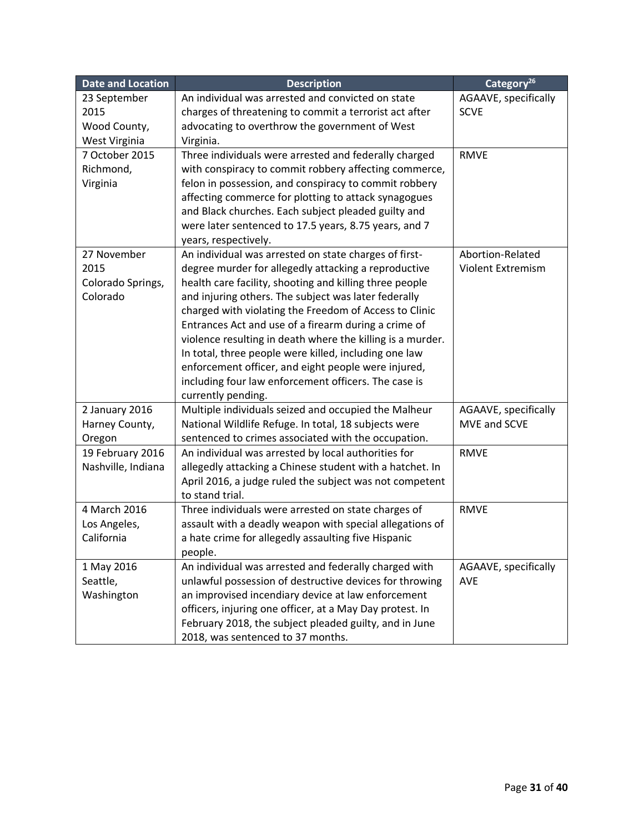| <b>Date and Location</b>   | <b>Description</b>                                                                                              | Category <sup>26</sup> |
|----------------------------|-----------------------------------------------------------------------------------------------------------------|------------------------|
| 23 September               | An individual was arrested and convicted on state                                                               | AGAAVE, specifically   |
| 2015                       | charges of threatening to commit a terrorist act after                                                          | <b>SCVE</b>            |
| Wood County,               | advocating to overthrow the government of West                                                                  |                        |
| West Virginia              | Virginia.                                                                                                       |                        |
| 7 October 2015             | Three individuals were arrested and federally charged                                                           | <b>RMVE</b>            |
| Richmond,                  | with conspiracy to commit robbery affecting commerce,                                                           |                        |
| Virginia                   | felon in possession, and conspiracy to commit robbery                                                           |                        |
|                            | affecting commerce for plotting to attack synagogues                                                            |                        |
|                            | and Black churches. Each subject pleaded guilty and                                                             |                        |
|                            | were later sentenced to 17.5 years, 8.75 years, and 7                                                           |                        |
|                            | years, respectively.                                                                                            |                        |
| 27 November                | An individual was arrested on state charges of first-                                                           | Abortion-Related       |
| 2015                       | degree murder for allegedly attacking a reproductive                                                            | Violent Extremism      |
| Colorado Springs,          | health care facility, shooting and killing three people                                                         |                        |
| Colorado                   | and injuring others. The subject was later federally                                                            |                        |
|                            | charged with violating the Freedom of Access to Clinic                                                          |                        |
|                            | Entrances Act and use of a firearm during a crime of                                                            |                        |
|                            | violence resulting in death where the killing is a murder.                                                      |                        |
|                            | In total, three people were killed, including one law                                                           |                        |
|                            | enforcement officer, and eight people were injured,                                                             |                        |
|                            | including four law enforcement officers. The case is                                                            |                        |
|                            | currently pending.                                                                                              |                        |
| 2 January 2016             | Multiple individuals seized and occupied the Malheur                                                            | AGAAVE, specifically   |
| Harney County,             | National Wildlife Refuge. In total, 18 subjects were                                                            | MVE and SCVE           |
| Oregon                     | sentenced to crimes associated with the occupation.                                                             |                        |
| 19 February 2016           | An individual was arrested by local authorities for                                                             | <b>RMVE</b>            |
| Nashville, Indiana         | allegedly attacking a Chinese student with a hatchet. In                                                        |                        |
|                            | April 2016, a judge ruled the subject was not competent                                                         |                        |
|                            | to stand trial.                                                                                                 |                        |
| 4 March 2016               | Three individuals were arrested on state charges of                                                             | <b>RMVE</b>            |
| Los Angeles,<br>California | assault with a deadly weapon with special allegations of<br>a hate crime for allegedly assaulting five Hispanic |                        |
|                            | people.                                                                                                         |                        |
| 1 May 2016                 | An individual was arrested and federally charged with                                                           | AGAAVE, specifically   |
| Seattle,                   | unlawful possession of destructive devices for throwing                                                         | <b>AVE</b>             |
| Washington                 | an improvised incendiary device at law enforcement                                                              |                        |
|                            | officers, injuring one officer, at a May Day protest. In                                                        |                        |
|                            | February 2018, the subject pleaded guilty, and in June                                                          |                        |
|                            | 2018, was sentenced to 37 months.                                                                               |                        |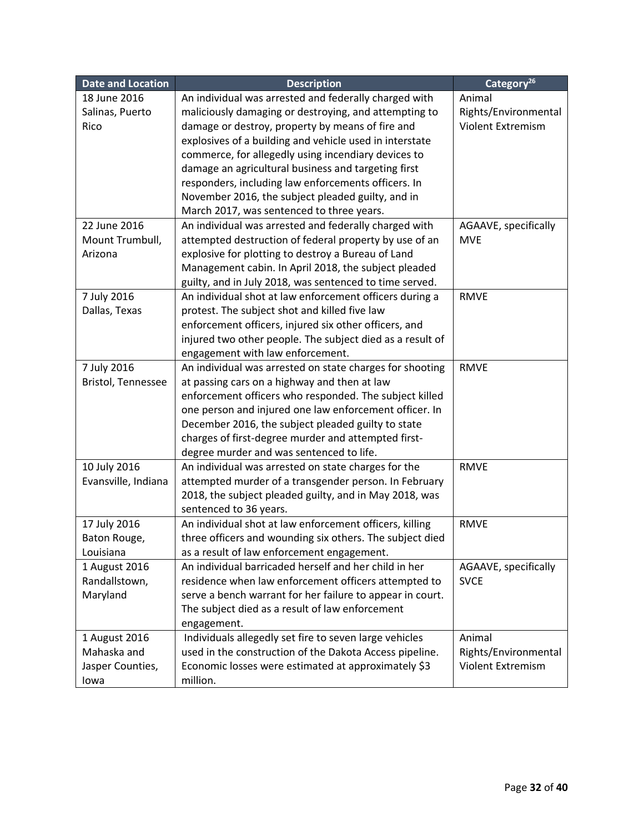| Date and Location   | <b>Description</b>                                        | Category <sup>26</sup>   |
|---------------------|-----------------------------------------------------------|--------------------------|
| 18 June 2016        | An individual was arrested and federally charged with     | Animal                   |
| Salinas, Puerto     | maliciously damaging or destroying, and attempting to     | Rights/Environmental     |
| Rico                | damage or destroy, property by means of fire and          | <b>Violent Extremism</b> |
|                     | explosives of a building and vehicle used in interstate   |                          |
|                     | commerce, for allegedly using incendiary devices to       |                          |
|                     | damage an agricultural business and targeting first       |                          |
|                     | responders, including law enforcements officers. In       |                          |
|                     | November 2016, the subject pleaded guilty, and in         |                          |
|                     | March 2017, was sentenced to three years.                 |                          |
| 22 June 2016        | An individual was arrested and federally charged with     | AGAAVE, specifically     |
| Mount Trumbull,     | attempted destruction of federal property by use of an    | <b>MVE</b>               |
| Arizona             | explosive for plotting to destroy a Bureau of Land        |                          |
|                     | Management cabin. In April 2018, the subject pleaded      |                          |
|                     | guilty, and in July 2018, was sentenced to time served.   |                          |
| 7 July 2016         | An individual shot at law enforcement officers during a   | <b>RMVE</b>              |
| Dallas, Texas       | protest. The subject shot and killed five law             |                          |
|                     | enforcement officers, injured six other officers, and     |                          |
|                     | injured two other people. The subject died as a result of |                          |
|                     | engagement with law enforcement.                          |                          |
| 7 July 2016         | An individual was arrested on state charges for shooting  | <b>RMVE</b>              |
| Bristol, Tennessee  | at passing cars on a highway and then at law              |                          |
|                     | enforcement officers who responded. The subject killed    |                          |
|                     | one person and injured one law enforcement officer. In    |                          |
|                     | December 2016, the subject pleaded guilty to state        |                          |
|                     | charges of first-degree murder and attempted first-       |                          |
|                     | degree murder and was sentenced to life.                  |                          |
| 10 July 2016        | An individual was arrested on state charges for the       | <b>RMVE</b>              |
| Evansville, Indiana | attempted murder of a transgender person. In February     |                          |
|                     | 2018, the subject pleaded guilty, and in May 2018, was    |                          |
|                     | sentenced to 36 years.                                    |                          |
| 17 July 2016        | An individual shot at law enforcement officers, killing   | <b>RMVE</b>              |
| Baton Rouge,        | three officers and wounding six others. The subject died  |                          |
| Louisiana           | as a result of law enforcement engagement.                |                          |
| 1 August 2016       | An individual barricaded herself and her child in her     | AGAAVE, specifically     |
| Randallstown,       | residence when law enforcement officers attempted to      | <b>SVCE</b>              |
| Maryland            | serve a bench warrant for her failure to appear in court. |                          |
|                     | The subject died as a result of law enforcement           |                          |
|                     | engagement.                                               |                          |
| 1 August 2016       | Individuals allegedly set fire to seven large vehicles    | Animal                   |
| Mahaska and         | used in the construction of the Dakota Access pipeline.   | Rights/Environmental     |
| Jasper Counties,    | Economic losses were estimated at approximately \$3       | Violent Extremism        |
| lowa                | million.                                                  |                          |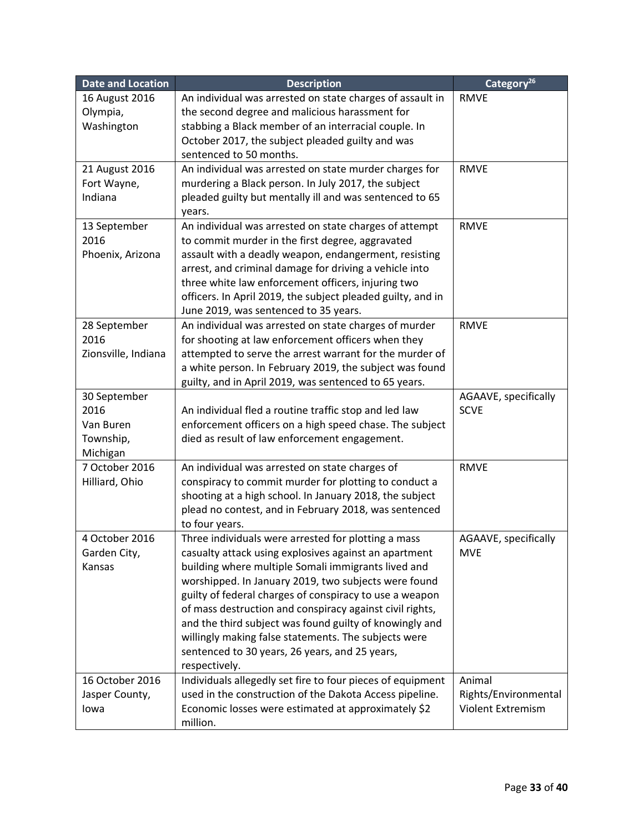| <b>Date and Location</b> | <b>Description</b>                                                                                                    | Category <sup>26</sup> |
|--------------------------|-----------------------------------------------------------------------------------------------------------------------|------------------------|
| 16 August 2016           | An individual was arrested on state charges of assault in                                                             | <b>RMVE</b>            |
| Olympia,                 | the second degree and malicious harassment for                                                                        |                        |
| Washington               | stabbing a Black member of an interracial couple. In                                                                  |                        |
|                          | October 2017, the subject pleaded guilty and was                                                                      |                        |
|                          | sentenced to 50 months.                                                                                               |                        |
| 21 August 2016           | An individual was arrested on state murder charges for                                                                | <b>RMVE</b>            |
| Fort Wayne,              | murdering a Black person. In July 2017, the subject                                                                   |                        |
| Indiana                  | pleaded guilty but mentally ill and was sentenced to 65                                                               |                        |
|                          | years.                                                                                                                |                        |
| 13 September             | An individual was arrested on state charges of attempt                                                                | <b>RMVE</b>            |
| 2016                     | to commit murder in the first degree, aggravated                                                                      |                        |
| Phoenix, Arizona         | assault with a deadly weapon, endangerment, resisting                                                                 |                        |
|                          | arrest, and criminal damage for driving a vehicle into                                                                |                        |
|                          | three white law enforcement officers, injuring two<br>officers. In April 2019, the subject pleaded guilty, and in     |                        |
|                          | June 2019, was sentenced to 35 years.                                                                                 |                        |
| 28 September             | An individual was arrested on state charges of murder                                                                 | <b>RMVE</b>            |
| 2016                     | for shooting at law enforcement officers when they                                                                    |                        |
| Zionsville, Indiana      | attempted to serve the arrest warrant for the murder of                                                               |                        |
|                          | a white person. In February 2019, the subject was found                                                               |                        |
|                          | guilty, and in April 2019, was sentenced to 65 years.                                                                 |                        |
| 30 September             |                                                                                                                       | AGAAVE, specifically   |
| 2016                     | An individual fled a routine traffic stop and led law                                                                 | <b>SCVE</b>            |
| Van Buren                | enforcement officers on a high speed chase. The subject                                                               |                        |
| Township,                | died as result of law enforcement engagement.                                                                         |                        |
| Michigan                 |                                                                                                                       |                        |
| 7 October 2016           | An individual was arrested on state charges of                                                                        | <b>RMVE</b>            |
| Hilliard, Ohio           | conspiracy to commit murder for plotting to conduct a                                                                 |                        |
|                          | shooting at a high school. In January 2018, the subject                                                               |                        |
|                          | plead no contest, and in February 2018, was sentenced                                                                 |                        |
|                          | to four years.                                                                                                        |                        |
| 4 October 2016           | Three individuals were arrested for plotting a mass                                                                   | AGAAVE, specifically   |
| Garden City,             | casualty attack using explosives against an apartment                                                                 | <b>MVE</b>             |
| Kansas                   | building where multiple Somali immigrants lived and                                                                   |                        |
|                          | worshipped. In January 2019, two subjects were found                                                                  |                        |
|                          | guilty of federal charges of conspiracy to use a weapon                                                               |                        |
|                          | of mass destruction and conspiracy against civil rights,                                                              |                        |
|                          | and the third subject was found guilty of knowingly and                                                               |                        |
|                          | willingly making false statements. The subjects were                                                                  |                        |
|                          | sentenced to 30 years, 26 years, and 25 years,<br>respectively.                                                       |                        |
| 16 October 2016          |                                                                                                                       | Animal                 |
| Jasper County,           | Individuals allegedly set fire to four pieces of equipment<br>used in the construction of the Dakota Access pipeline. | Rights/Environmental   |
| lowa                     | Economic losses were estimated at approximately \$2                                                                   | Violent Extremism      |
|                          | million.                                                                                                              |                        |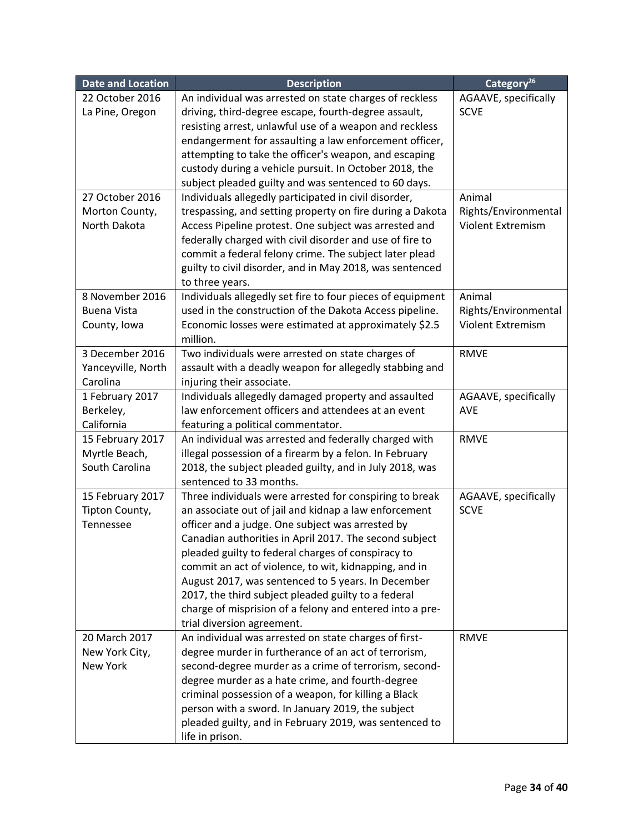| <b>Date and Location</b> | <b>Description</b>                                                                  | Category <sup>26</sup>   |
|--------------------------|-------------------------------------------------------------------------------------|--------------------------|
| 22 October 2016          | An individual was arrested on state charges of reckless                             | AGAAVE, specifically     |
| La Pine, Oregon          | driving, third-degree escape, fourth-degree assault,                                | <b>SCVE</b>              |
|                          | resisting arrest, unlawful use of a weapon and reckless                             |                          |
|                          | endangerment for assaulting a law enforcement officer,                              |                          |
|                          | attempting to take the officer's weapon, and escaping                               |                          |
|                          | custody during a vehicle pursuit. In October 2018, the                              |                          |
|                          | subject pleaded guilty and was sentenced to 60 days.                                |                          |
| 27 October 2016          | Individuals allegedly participated in civil disorder,                               | Animal                   |
| Morton County,           | trespassing, and setting property on fire during a Dakota                           | Rights/Environmental     |
| North Dakota             | Access Pipeline protest. One subject was arrested and                               | Violent Extremism        |
|                          | federally charged with civil disorder and use of fire to                            |                          |
|                          | commit a federal felony crime. The subject later plead                              |                          |
|                          | guilty to civil disorder, and in May 2018, was sentenced                            |                          |
|                          | to three years.                                                                     |                          |
| 8 November 2016          | Individuals allegedly set fire to four pieces of equipment                          | Animal                   |
| <b>Buena Vista</b>       | used in the construction of the Dakota Access pipeline.                             | Rights/Environmental     |
| County, Iowa             | Economic losses were estimated at approximately \$2.5                               | <b>Violent Extremism</b> |
|                          | million.                                                                            |                          |
| 3 December 2016          | Two individuals were arrested on state charges of                                   | <b>RMVE</b>              |
| Yanceyville, North       | assault with a deadly weapon for allegedly stabbing and                             |                          |
| Carolina                 | injuring their associate.                                                           |                          |
| 1 February 2017          | Individuals allegedly damaged property and assaulted                                | AGAAVE, specifically     |
| Berkeley,                | law enforcement officers and attendees at an event                                  | <b>AVE</b>               |
| California               | featuring a political commentator.                                                  |                          |
| 15 February 2017         | An individual was arrested and federally charged with                               | <b>RMVE</b>              |
| Myrtle Beach,            | illegal possession of a firearm by a felon. In February                             |                          |
| South Carolina           | 2018, the subject pleaded guilty, and in July 2018, was                             |                          |
|                          | sentenced to 33 months.                                                             |                          |
| 15 February 2017         | Three individuals were arrested for conspiring to break                             | AGAAVE, specifically     |
| Tipton County,           | an associate out of jail and kidnap a law enforcement                               | <b>SCVE</b>              |
| Tennessee                | officer and a judge. One subject was arrested by                                    |                          |
|                          | Canadian authorities in April 2017. The second subject                              |                          |
|                          | pleaded guilty to federal charges of conspiracy to                                  |                          |
|                          | commit an act of violence, to wit, kidnapping, and in                               |                          |
|                          | August 2017, was sentenced to 5 years. In December                                  |                          |
|                          | 2017, the third subject pleaded guilty to a federal                                 |                          |
|                          | charge of misprision of a felony and entered into a pre-                            |                          |
| 20 March 2017            | trial diversion agreement.<br>An individual was arrested on state charges of first- | <b>RMVE</b>              |
| New York City,           | degree murder in furtherance of an act of terrorism,                                |                          |
| New York                 | second-degree murder as a crime of terrorism, second-                               |                          |
|                          | degree murder as a hate crime, and fourth-degree                                    |                          |
|                          | criminal possession of a weapon, for killing a Black                                |                          |
|                          | person with a sword. In January 2019, the subject                                   |                          |
|                          | pleaded guilty, and in February 2019, was sentenced to                              |                          |
|                          | life in prison.                                                                     |                          |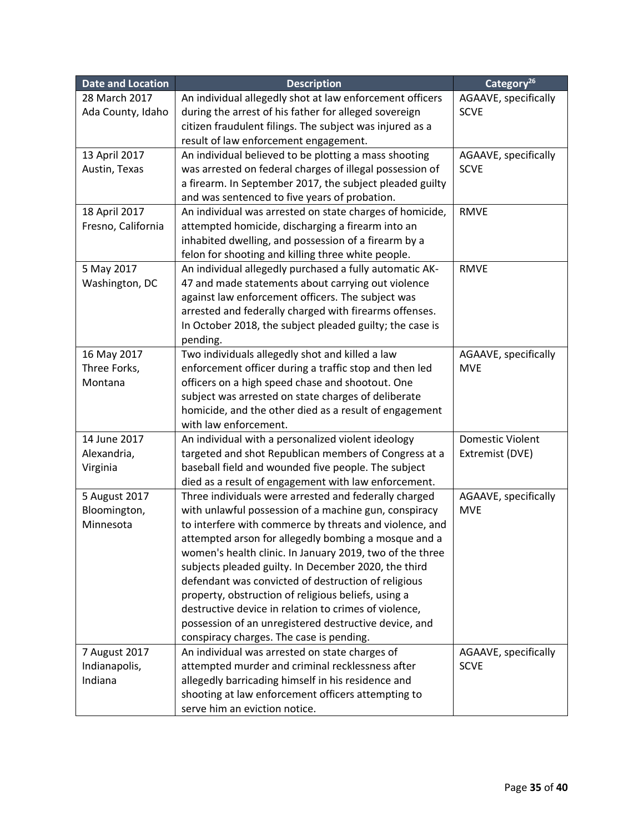| 28 March 2017<br>AGAAVE, specifically<br>An individual allegedly shot at law enforcement officers<br>Ada County, Idaho<br>during the arrest of his father for alleged sovereign<br><b>SCVE</b><br>citizen fraudulent filings. The subject was injured as a<br>result of law enforcement engagement.<br>13 April 2017<br>An individual believed to be plotting a mass shooting<br>AGAAVE, specifically<br>Austin, Texas<br>was arrested on federal charges of illegal possession of<br><b>SCVE</b><br>a firearm. In September 2017, the subject pleaded guilty<br>and was sentenced to five years of probation.<br>18 April 2017<br>An individual was arrested on state charges of homicide,<br><b>RMVE</b><br>Fresno, California<br>attempted homicide, discharging a firearm into an<br>inhabited dwelling, and possession of a firearm by a<br>felon for shooting and killing three white people.<br>5 May 2017<br>An individual allegedly purchased a fully automatic AK-<br><b>RMVE</b><br>Washington, DC<br>47 and made statements about carrying out violence<br>against law enforcement officers. The subject was<br>arrested and federally charged with firearms offenses. |
|------------------------------------------------------------------------------------------------------------------------------------------------------------------------------------------------------------------------------------------------------------------------------------------------------------------------------------------------------------------------------------------------------------------------------------------------------------------------------------------------------------------------------------------------------------------------------------------------------------------------------------------------------------------------------------------------------------------------------------------------------------------------------------------------------------------------------------------------------------------------------------------------------------------------------------------------------------------------------------------------------------------------------------------------------------------------------------------------------------------------------------------------------------------------------------|
|                                                                                                                                                                                                                                                                                                                                                                                                                                                                                                                                                                                                                                                                                                                                                                                                                                                                                                                                                                                                                                                                                                                                                                                    |
|                                                                                                                                                                                                                                                                                                                                                                                                                                                                                                                                                                                                                                                                                                                                                                                                                                                                                                                                                                                                                                                                                                                                                                                    |
|                                                                                                                                                                                                                                                                                                                                                                                                                                                                                                                                                                                                                                                                                                                                                                                                                                                                                                                                                                                                                                                                                                                                                                                    |
|                                                                                                                                                                                                                                                                                                                                                                                                                                                                                                                                                                                                                                                                                                                                                                                                                                                                                                                                                                                                                                                                                                                                                                                    |
|                                                                                                                                                                                                                                                                                                                                                                                                                                                                                                                                                                                                                                                                                                                                                                                                                                                                                                                                                                                                                                                                                                                                                                                    |
|                                                                                                                                                                                                                                                                                                                                                                                                                                                                                                                                                                                                                                                                                                                                                                                                                                                                                                                                                                                                                                                                                                                                                                                    |
|                                                                                                                                                                                                                                                                                                                                                                                                                                                                                                                                                                                                                                                                                                                                                                                                                                                                                                                                                                                                                                                                                                                                                                                    |
|                                                                                                                                                                                                                                                                                                                                                                                                                                                                                                                                                                                                                                                                                                                                                                                                                                                                                                                                                                                                                                                                                                                                                                                    |
|                                                                                                                                                                                                                                                                                                                                                                                                                                                                                                                                                                                                                                                                                                                                                                                                                                                                                                                                                                                                                                                                                                                                                                                    |
|                                                                                                                                                                                                                                                                                                                                                                                                                                                                                                                                                                                                                                                                                                                                                                                                                                                                                                                                                                                                                                                                                                                                                                                    |
|                                                                                                                                                                                                                                                                                                                                                                                                                                                                                                                                                                                                                                                                                                                                                                                                                                                                                                                                                                                                                                                                                                                                                                                    |
|                                                                                                                                                                                                                                                                                                                                                                                                                                                                                                                                                                                                                                                                                                                                                                                                                                                                                                                                                                                                                                                                                                                                                                                    |
|                                                                                                                                                                                                                                                                                                                                                                                                                                                                                                                                                                                                                                                                                                                                                                                                                                                                                                                                                                                                                                                                                                                                                                                    |
|                                                                                                                                                                                                                                                                                                                                                                                                                                                                                                                                                                                                                                                                                                                                                                                                                                                                                                                                                                                                                                                                                                                                                                                    |
|                                                                                                                                                                                                                                                                                                                                                                                                                                                                                                                                                                                                                                                                                                                                                                                                                                                                                                                                                                                                                                                                                                                                                                                    |
|                                                                                                                                                                                                                                                                                                                                                                                                                                                                                                                                                                                                                                                                                                                                                                                                                                                                                                                                                                                                                                                                                                                                                                                    |
| In October 2018, the subject pleaded guilty; the case is                                                                                                                                                                                                                                                                                                                                                                                                                                                                                                                                                                                                                                                                                                                                                                                                                                                                                                                                                                                                                                                                                                                           |
| pending.                                                                                                                                                                                                                                                                                                                                                                                                                                                                                                                                                                                                                                                                                                                                                                                                                                                                                                                                                                                                                                                                                                                                                                           |
| Two individuals allegedly shot and killed a law<br>16 May 2017<br>AGAAVE, specifically                                                                                                                                                                                                                                                                                                                                                                                                                                                                                                                                                                                                                                                                                                                                                                                                                                                                                                                                                                                                                                                                                             |
| enforcement officer during a traffic stop and then led<br><b>MVE</b><br>Three Forks,                                                                                                                                                                                                                                                                                                                                                                                                                                                                                                                                                                                                                                                                                                                                                                                                                                                                                                                                                                                                                                                                                               |
| officers on a high speed chase and shootout. One<br>Montana                                                                                                                                                                                                                                                                                                                                                                                                                                                                                                                                                                                                                                                                                                                                                                                                                                                                                                                                                                                                                                                                                                                        |
| subject was arrested on state charges of deliberate                                                                                                                                                                                                                                                                                                                                                                                                                                                                                                                                                                                                                                                                                                                                                                                                                                                                                                                                                                                                                                                                                                                                |
| homicide, and the other died as a result of engagement                                                                                                                                                                                                                                                                                                                                                                                                                                                                                                                                                                                                                                                                                                                                                                                                                                                                                                                                                                                                                                                                                                                             |
| with law enforcement.                                                                                                                                                                                                                                                                                                                                                                                                                                                                                                                                                                                                                                                                                                                                                                                                                                                                                                                                                                                                                                                                                                                                                              |
| 14 June 2017<br>An individual with a personalized violent ideology<br><b>Domestic Violent</b>                                                                                                                                                                                                                                                                                                                                                                                                                                                                                                                                                                                                                                                                                                                                                                                                                                                                                                                                                                                                                                                                                      |
| Alexandria,<br>targeted and shot Republican members of Congress at a<br>Extremist (DVE)                                                                                                                                                                                                                                                                                                                                                                                                                                                                                                                                                                                                                                                                                                                                                                                                                                                                                                                                                                                                                                                                                            |
| baseball field and wounded five people. The subject<br>Virginia                                                                                                                                                                                                                                                                                                                                                                                                                                                                                                                                                                                                                                                                                                                                                                                                                                                                                                                                                                                                                                                                                                                    |
| died as a result of engagement with law enforcement.                                                                                                                                                                                                                                                                                                                                                                                                                                                                                                                                                                                                                                                                                                                                                                                                                                                                                                                                                                                                                                                                                                                               |
| 5 August 2017<br>Three individuals were arrested and federally charged<br>AGAAVE, specifically                                                                                                                                                                                                                                                                                                                                                                                                                                                                                                                                                                                                                                                                                                                                                                                                                                                                                                                                                                                                                                                                                     |
| Bloomington,<br>with unlawful possession of a machine gun, conspiracy<br><b>MVE</b>                                                                                                                                                                                                                                                                                                                                                                                                                                                                                                                                                                                                                                                                                                                                                                                                                                                                                                                                                                                                                                                                                                |
| to interfere with commerce by threats and violence, and<br>Minnesota                                                                                                                                                                                                                                                                                                                                                                                                                                                                                                                                                                                                                                                                                                                                                                                                                                                                                                                                                                                                                                                                                                               |
| attempted arson for allegedly bombing a mosque and a                                                                                                                                                                                                                                                                                                                                                                                                                                                                                                                                                                                                                                                                                                                                                                                                                                                                                                                                                                                                                                                                                                                               |
| women's health clinic. In January 2019, two of the three                                                                                                                                                                                                                                                                                                                                                                                                                                                                                                                                                                                                                                                                                                                                                                                                                                                                                                                                                                                                                                                                                                                           |
| subjects pleaded guilty. In December 2020, the third                                                                                                                                                                                                                                                                                                                                                                                                                                                                                                                                                                                                                                                                                                                                                                                                                                                                                                                                                                                                                                                                                                                               |
| defendant was convicted of destruction of religious<br>property, obstruction of religious beliefs, using a                                                                                                                                                                                                                                                                                                                                                                                                                                                                                                                                                                                                                                                                                                                                                                                                                                                                                                                                                                                                                                                                         |
| destructive device in relation to crimes of violence,                                                                                                                                                                                                                                                                                                                                                                                                                                                                                                                                                                                                                                                                                                                                                                                                                                                                                                                                                                                                                                                                                                                              |
| possession of an unregistered destructive device, and                                                                                                                                                                                                                                                                                                                                                                                                                                                                                                                                                                                                                                                                                                                                                                                                                                                                                                                                                                                                                                                                                                                              |
| conspiracy charges. The case is pending.                                                                                                                                                                                                                                                                                                                                                                                                                                                                                                                                                                                                                                                                                                                                                                                                                                                                                                                                                                                                                                                                                                                                           |
| An individual was arrested on state charges of<br>7 August 2017<br>AGAAVE, specifically                                                                                                                                                                                                                                                                                                                                                                                                                                                                                                                                                                                                                                                                                                                                                                                                                                                                                                                                                                                                                                                                                            |
| attempted murder and criminal recklessness after<br>Indianapolis,<br><b>SCVE</b>                                                                                                                                                                                                                                                                                                                                                                                                                                                                                                                                                                                                                                                                                                                                                                                                                                                                                                                                                                                                                                                                                                   |
| allegedly barricading himself in his residence and<br>Indiana                                                                                                                                                                                                                                                                                                                                                                                                                                                                                                                                                                                                                                                                                                                                                                                                                                                                                                                                                                                                                                                                                                                      |
| shooting at law enforcement officers attempting to                                                                                                                                                                                                                                                                                                                                                                                                                                                                                                                                                                                                                                                                                                                                                                                                                                                                                                                                                                                                                                                                                                                                 |
| serve him an eviction notice.                                                                                                                                                                                                                                                                                                                                                                                                                                                                                                                                                                                                                                                                                                                                                                                                                                                                                                                                                                                                                                                                                                                                                      |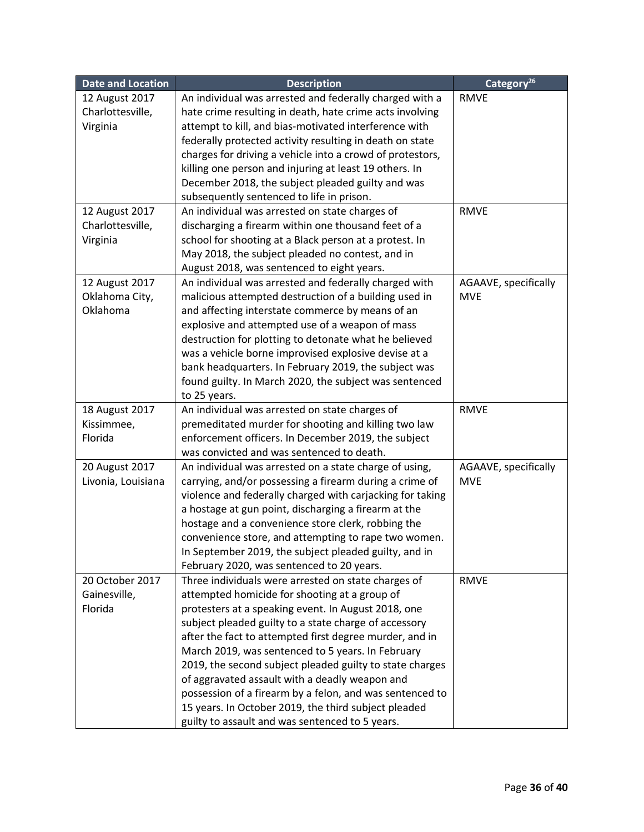| <b>Date and Location</b> | <b>Description</b>                                                                                            | Category <sup>26</sup> |
|--------------------------|---------------------------------------------------------------------------------------------------------------|------------------------|
| 12 August 2017           | An individual was arrested and federally charged with a                                                       | <b>RMVE</b>            |
| Charlottesville,         | hate crime resulting in death, hate crime acts involving                                                      |                        |
| Virginia                 | attempt to kill, and bias-motivated interference with                                                         |                        |
|                          | federally protected activity resulting in death on state                                                      |                        |
|                          | charges for driving a vehicle into a crowd of protestors,                                                     |                        |
|                          | killing one person and injuring at least 19 others. In                                                        |                        |
|                          | December 2018, the subject pleaded guilty and was                                                             |                        |
|                          | subsequently sentenced to life in prison.                                                                     |                        |
| 12 August 2017           | An individual was arrested on state charges of                                                                | <b>RMVE</b>            |
| Charlottesville,         | discharging a firearm within one thousand feet of a                                                           |                        |
| Virginia                 | school for shooting at a Black person at a protest. In                                                        |                        |
|                          | May 2018, the subject pleaded no contest, and in                                                              |                        |
|                          | August 2018, was sentenced to eight years.                                                                    |                        |
| 12 August 2017           | An individual was arrested and federally charged with                                                         | AGAAVE, specifically   |
| Oklahoma City,           | malicious attempted destruction of a building used in                                                         | <b>MVE</b>             |
| Oklahoma                 | and affecting interstate commerce by means of an                                                              |                        |
|                          | explosive and attempted use of a weapon of mass                                                               |                        |
|                          | destruction for plotting to detonate what he believed                                                         |                        |
|                          | was a vehicle borne improvised explosive devise at a                                                          |                        |
|                          | bank headquarters. In February 2019, the subject was                                                          |                        |
|                          | found guilty. In March 2020, the subject was sentenced                                                        |                        |
|                          | to 25 years.                                                                                                  |                        |
| 18 August 2017           | An individual was arrested on state charges of                                                                | <b>RMVE</b>            |
| Kissimmee,               | premeditated murder for shooting and killing two law                                                          |                        |
| Florida                  | enforcement officers. In December 2019, the subject                                                           |                        |
|                          | was convicted and was sentenced to death.                                                                     |                        |
| 20 August 2017           | An individual was arrested on a state charge of using,                                                        | AGAAVE, specifically   |
| Livonia, Louisiana       | carrying, and/or possessing a firearm during a crime of                                                       | <b>MVE</b>             |
|                          | violence and federally charged with carjacking for taking                                                     |                        |
|                          | a hostage at gun point, discharging a firearm at the                                                          |                        |
|                          | hostage and a convenience store clerk, robbing the                                                            |                        |
|                          | convenience store, and attempting to rape two women.                                                          |                        |
|                          | In September 2019, the subject pleaded guilty, and in                                                         |                        |
|                          | February 2020, was sentenced to 20 years.                                                                     |                        |
| 20 October 2017          | Three individuals were arrested on state charges of                                                           | <b>RMVE</b>            |
| Gainesville,             | attempted homicide for shooting at a group of                                                                 |                        |
| Florida                  | protesters at a speaking event. In August 2018, one                                                           |                        |
|                          | subject pleaded guilty to a state charge of accessory                                                         |                        |
|                          | after the fact to attempted first degree murder, and in                                                       |                        |
|                          | March 2019, was sentenced to 5 years. In February<br>2019, the second subject pleaded guilty to state charges |                        |
|                          | of aggravated assault with a deadly weapon and                                                                |                        |
|                          | possession of a firearm by a felon, and was sentenced to                                                      |                        |
|                          | 15 years. In October 2019, the third subject pleaded                                                          |                        |
|                          |                                                                                                               |                        |
|                          | guilty to assault and was sentenced to 5 years.                                                               |                        |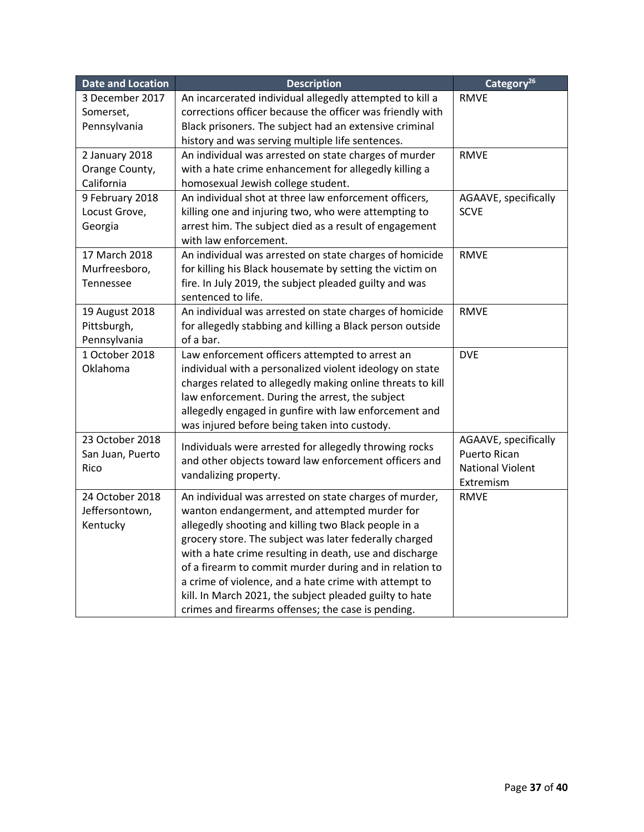| <b>Date and Location</b> | <b>Description</b>                                         | Category <sup>26</sup>  |
|--------------------------|------------------------------------------------------------|-------------------------|
| 3 December 2017          | An incarcerated individual allegedly attempted to kill a   | <b>RMVE</b>             |
| Somerset,                | corrections officer because the officer was friendly with  |                         |
| Pennsylvania             | Black prisoners. The subject had an extensive criminal     |                         |
|                          | history and was serving multiple life sentences.           |                         |
| 2 January 2018           | An individual was arrested on state charges of murder      | <b>RMVE</b>             |
| Orange County,           | with a hate crime enhancement for allegedly killing a      |                         |
| California               | homosexual Jewish college student.                         |                         |
| 9 February 2018          | An individual shot at three law enforcement officers,      | AGAAVE, specifically    |
| Locust Grove,            | killing one and injuring two, who were attempting to       | <b>SCVE</b>             |
| Georgia                  | arrest him. The subject died as a result of engagement     |                         |
|                          | with law enforcement.                                      |                         |
| 17 March 2018            | An individual was arrested on state charges of homicide    | <b>RMVE</b>             |
| Murfreesboro,            | for killing his Black housemate by setting the victim on   |                         |
| Tennessee                | fire. In July 2019, the subject pleaded guilty and was     |                         |
|                          | sentenced to life.                                         |                         |
| 19 August 2018           | An individual was arrested on state charges of homicide    | <b>RMVE</b>             |
| Pittsburgh,              | for allegedly stabbing and killing a Black person outside  |                         |
| Pennsylvania             | of a bar.                                                  |                         |
| 1 October 2018           | Law enforcement officers attempted to arrest an            | <b>DVE</b>              |
| Oklahoma                 | individual with a personalized violent ideology on state   |                         |
|                          | charges related to allegedly making online threats to kill |                         |
|                          | law enforcement. During the arrest, the subject            |                         |
|                          | allegedly engaged in gunfire with law enforcement and      |                         |
|                          | was injured before being taken into custody.               |                         |
| 23 October 2018          | Individuals were arrested for allegedly throwing rocks     | AGAAVE, specifically    |
| San Juan, Puerto         | and other objects toward law enforcement officers and      | <b>Puerto Rican</b>     |
| Rico                     | vandalizing property.                                      | <b>National Violent</b> |
|                          |                                                            | Extremism               |
| 24 October 2018          | An individual was arrested on state charges of murder,     | <b>RMVE</b>             |
| Jeffersontown,           | wanton endangerment, and attempted murder for              |                         |
| Kentucky                 | allegedly shooting and killing two Black people in a       |                         |
|                          | grocery store. The subject was later federally charged     |                         |
|                          | with a hate crime resulting in death, use and discharge    |                         |
|                          | of a firearm to commit murder during and in relation to    |                         |
|                          | a crime of violence, and a hate crime with attempt to      |                         |
|                          | kill. In March 2021, the subject pleaded guilty to hate    |                         |
|                          | crimes and firearms offenses; the case is pending.         |                         |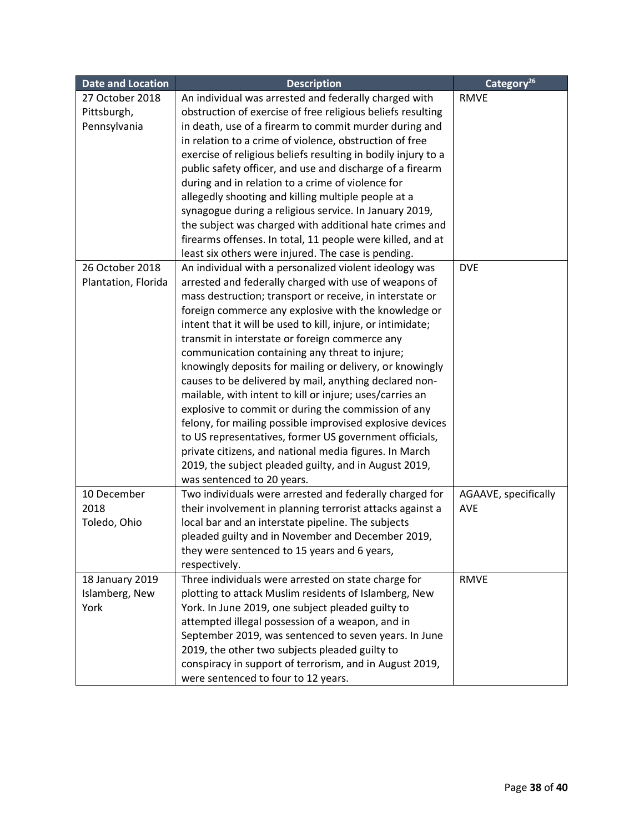| <b>Date and Location</b> | <b>Description</b>                                            | Category <sup>26</sup> |
|--------------------------|---------------------------------------------------------------|------------------------|
| 27 October 2018          | An individual was arrested and federally charged with         | <b>RMVE</b>            |
| Pittsburgh,              | obstruction of exercise of free religious beliefs resulting   |                        |
| Pennsylvania             | in death, use of a firearm to commit murder during and        |                        |
|                          | in relation to a crime of violence, obstruction of free       |                        |
|                          | exercise of religious beliefs resulting in bodily injury to a |                        |
|                          | public safety officer, and use and discharge of a firearm     |                        |
|                          | during and in relation to a crime of violence for             |                        |
|                          | allegedly shooting and killing multiple people at a           |                        |
|                          | synagogue during a religious service. In January 2019,        |                        |
|                          | the subject was charged with additional hate crimes and       |                        |
|                          | firearms offenses. In total, 11 people were killed, and at    |                        |
|                          | least six others were injured. The case is pending.           |                        |
| 26 October 2018          | An individual with a personalized violent ideology was        | <b>DVE</b>             |
| Plantation, Florida      | arrested and federally charged with use of weapons of         |                        |
|                          | mass destruction; transport or receive, in interstate or      |                        |
|                          | foreign commerce any explosive with the knowledge or          |                        |
|                          | intent that it will be used to kill, injure, or intimidate;   |                        |
|                          | transmit in interstate or foreign commerce any                |                        |
|                          | communication containing any threat to injure;                |                        |
|                          | knowingly deposits for mailing or delivery, or knowingly      |                        |
|                          | causes to be delivered by mail, anything declared non-        |                        |
|                          | mailable, with intent to kill or injure; uses/carries an      |                        |
|                          | explosive to commit or during the commission of any           |                        |
|                          | felony, for mailing possible improvised explosive devices     |                        |
|                          | to US representatives, former US government officials,        |                        |
|                          | private citizens, and national media figures. In March        |                        |
|                          | 2019, the subject pleaded guilty, and in August 2019,         |                        |
|                          | was sentenced to 20 years.                                    |                        |
| 10 December              | Two individuals were arrested and federally charged for       | AGAAVE, specifically   |
| 2018                     | their involvement in planning terrorist attacks against a     | <b>AVE</b>             |
| Toledo, Ohio             | local bar and an interstate pipeline. The subjects            |                        |
|                          | pleaded guilty and in November and December 2019,             |                        |
|                          | they were sentenced to 15 years and 6 years,                  |                        |
|                          | respectively.                                                 |                        |
| 18 January 2019          | Three individuals were arrested on state charge for           | <b>RMVE</b>            |
| Islamberg, New           | plotting to attack Muslim residents of Islamberg, New         |                        |
| York                     | York. In June 2019, one subject pleaded guilty to             |                        |
|                          | attempted illegal possession of a weapon, and in              |                        |
|                          | September 2019, was sentenced to seven years. In June         |                        |
|                          | 2019, the other two subjects pleaded guilty to                |                        |
|                          | conspiracy in support of terrorism, and in August 2019,       |                        |
|                          | were sentenced to four to 12 years.                           |                        |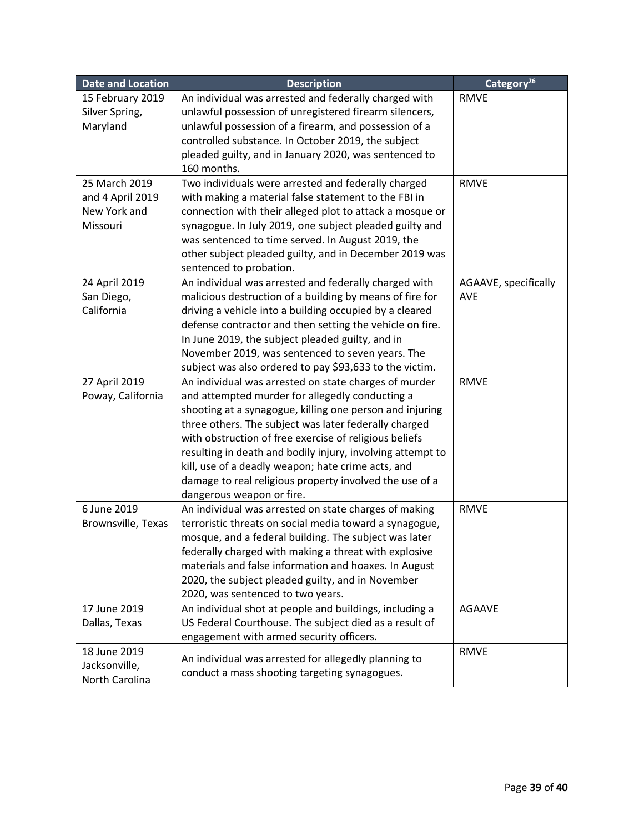| <b>Date and Location</b> | <b>Description</b>                                         | Category <sup>26</sup> |
|--------------------------|------------------------------------------------------------|------------------------|
| 15 February 2019         | An individual was arrested and federally charged with      | <b>RMVE</b>            |
| Silver Spring,           | unlawful possession of unregistered firearm silencers,     |                        |
| Maryland                 | unlawful possession of a firearm, and possession of a      |                        |
|                          | controlled substance. In October 2019, the subject         |                        |
|                          | pleaded guilty, and in January 2020, was sentenced to      |                        |
|                          | 160 months.                                                |                        |
| 25 March 2019            | Two individuals were arrested and federally charged        | <b>RMVE</b>            |
| and 4 April 2019         | with making a material false statement to the FBI in       |                        |
| New York and             | connection with their alleged plot to attack a mosque or   |                        |
| Missouri                 | synagogue. In July 2019, one subject pleaded guilty and    |                        |
|                          | was sentenced to time served. In August 2019, the          |                        |
|                          | other subject pleaded guilty, and in December 2019 was     |                        |
|                          | sentenced to probation.                                    |                        |
| 24 April 2019            | An individual was arrested and federally charged with      | AGAAVE, specifically   |
| San Diego,               | malicious destruction of a building by means of fire for   | <b>AVE</b>             |
| California               | driving a vehicle into a building occupied by a cleared    |                        |
|                          | defense contractor and then setting the vehicle on fire.   |                        |
|                          | In June 2019, the subject pleaded guilty, and in           |                        |
|                          | November 2019, was sentenced to seven years. The           |                        |
|                          | subject was also ordered to pay \$93,633 to the victim.    |                        |
| 27 April 2019            | An individual was arrested on state charges of murder      | <b>RMVE</b>            |
| Poway, California        | and attempted murder for allegedly conducting a            |                        |
|                          | shooting at a synagogue, killing one person and injuring   |                        |
|                          | three others. The subject was later federally charged      |                        |
|                          | with obstruction of free exercise of religious beliefs     |                        |
|                          | resulting in death and bodily injury, involving attempt to |                        |
|                          | kill, use of a deadly weapon; hate crime acts, and         |                        |
|                          | damage to real religious property involved the use of a    |                        |
|                          | dangerous weapon or fire.                                  |                        |
| 6 June 2019              | An individual was arrested on state charges of making      | <b>RMVE</b>            |
| Brownsville, Texas       | terroristic threats on social media toward a synagogue,    |                        |
|                          | mosque, and a federal building. The subject was later      |                        |
|                          | federally charged with making a threat with explosive      |                        |
|                          | materials and false information and hoaxes. In August      |                        |
|                          | 2020, the subject pleaded guilty, and in November          |                        |
|                          | 2020, was sentenced to two years.                          |                        |
| 17 June 2019             | An individual shot at people and buildings, including a    | <b>AGAAVE</b>          |
| Dallas, Texas            | US Federal Courthouse. The subject died as a result of     |                        |
|                          | engagement with armed security officers.                   |                        |
| 18 June 2019             | An individual was arrested for allegedly planning to       | <b>RMVE</b>            |
| Jacksonville,            | conduct a mass shooting targeting synagogues.              |                        |
| North Carolina           |                                                            |                        |